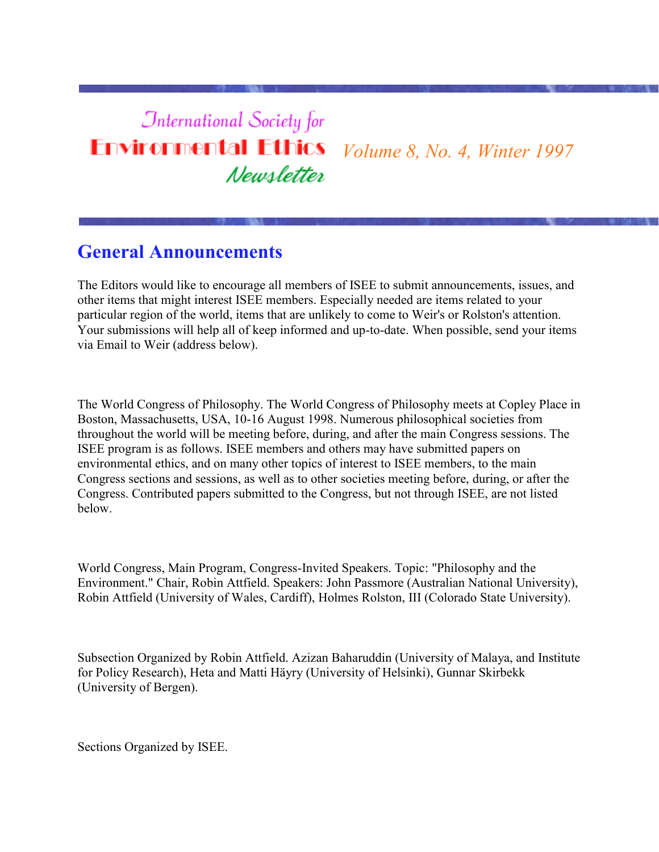### **International Society for Environmental Ethics** *Volume 8, No. 4, Winter 1997* Newsletter

## **General Announcements**

The Editors would like to encourage all members of ISEE to submit announcements, issues, and other items that might interest ISEE members. Especially needed are items related to your particular region of the world, items that are unlikely to come to Weir's or Rolston's attention. Your submissions will help all of keep informed and up-to-date. When possible, send your items via Email to Weir (address below).

The World Congress of Philosophy. The World Congress of Philosophy meets at Copley Place in Boston, Massachusetts, USA, 10-16 August 1998. Numerous philosophical societies from throughout the world will be meeting before, during, and after the main Congress sessions. The ISEE program is as follows. ISEE members and others may have submitted papers on environmental ethics, and on many other topics of interest to ISEE members, to the main Congress sections and sessions, as well as to other societies meeting before, during, or after the Congress. Contributed papers submitted to the Congress, but not through ISEE, are not listed below.

World Congress, Main Program, Congress-Invited Speakers. Topic: "Philosophy and the Environment." Chair, Robin Attfield. Speakers: John Passmore (Australian National University), Robin Attfield (University of Wales, Cardiff), Holmes Rolston, III (Colorado State University).

Subsection Organized by Robin Attfield. Azizan Baharuddin (University of Malaya, and Institute for Policy Research), Heta and Matti Häyry (University of Helsinki), Gunnar Skirbekk (University of Bergen).

Sections Organized by ISEE.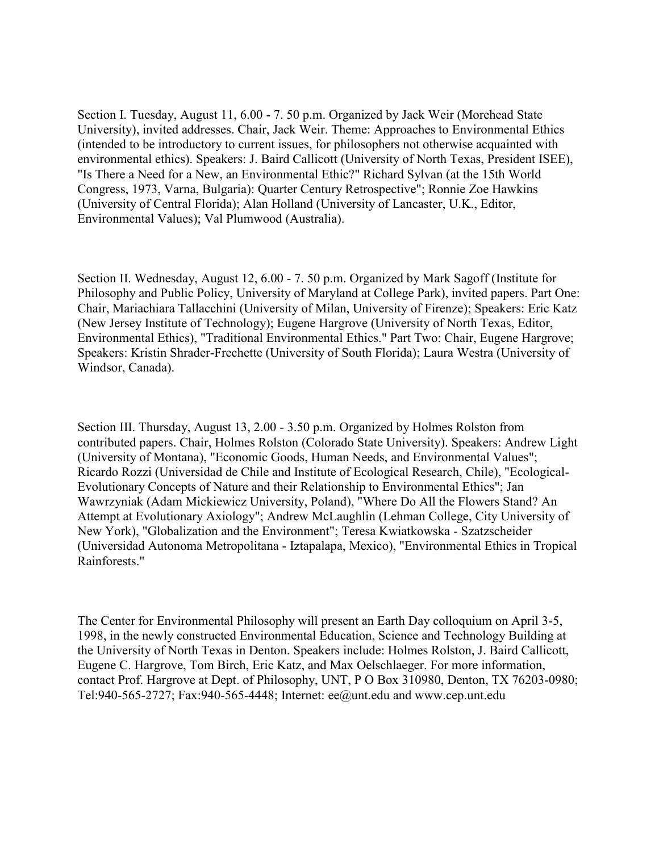Section I. Tuesday, August 11, 6.00 - 7. 50 p.m. Organized by Jack Weir (Morehead State University), invited addresses. Chair, Jack Weir. Theme: Approaches to Environmental Ethics (intended to be introductory to current issues, for philosophers not otherwise acquainted with environmental ethics). Speakers: J. Baird Callicott (University of North Texas, President ISEE), "Is There a Need for a New, an Environmental Ethic?" Richard Sylvan (at the 15th World Congress, 1973, Varna, Bulgaria): Quarter Century Retrospective"; Ronnie Zoe Hawkins (University of Central Florida); Alan Holland (University of Lancaster, U.K., Editor, Environmental Values); Val Plumwood (Australia).

Section II. Wednesday, August 12, 6.00 - 7. 50 p.m. Organized by Mark Sagoff (Institute for Philosophy and Public Policy, University of Maryland at College Park), invited papers. Part One: Chair, Mariachiara Tallacchini (University of Milan, University of Firenze); Speakers: Eric Katz (New Jersey Institute of Technology); Eugene Hargrove (University of North Texas, Editor, Environmental Ethics), "Traditional Environmental Ethics." Part Two: Chair, Eugene Hargrove; Speakers: Kristin Shrader-Frechette (University of South Florida); Laura Westra (University of Windsor, Canada).

Section III. Thursday, August 13, 2.00 - 3.50 p.m. Organized by Holmes Rolston from contributed papers. Chair, Holmes Rolston (Colorado State University). Speakers: Andrew Light (University of Montana), "Economic Goods, Human Needs, and Environmental Values"; Ricardo Rozzi (Universidad de Chile and Institute of Ecological Research, Chile), "Ecological-Evolutionary Concepts of Nature and their Relationship to Environmental Ethics"; Jan Wawrzyniak (Adam Mickiewicz University, Poland), "Where Do All the Flowers Stand? An Attempt at Evolutionary Axiology"; Andrew McLaughlin (Lehman College, City University of New York), "Globalization and the Environment"; Teresa Kwiatkowska - Szatzscheider (Universidad Autonoma Metropolitana - Iztapalapa, Mexico), "Environmental Ethics in Tropical Rainforests."

The Center for Environmental Philosophy will present an Earth Day colloquium on April 3-5, 1998, in the newly constructed Environmental Education, Science and Technology Building at the University of North Texas in Denton. Speakers include: Holmes Rolston, J. Baird Callicott, Eugene C. Hargrove, Tom Birch, Eric Katz, and Max Oelschlaeger. For more information, contact Prof. Hargrove at Dept. of Philosophy, UNT, P O Box 310980, Denton, TX 76203-0980; Tel:940-565-2727; Fax:940-565-4448; Internet: ee@unt.edu and www.cep.unt.edu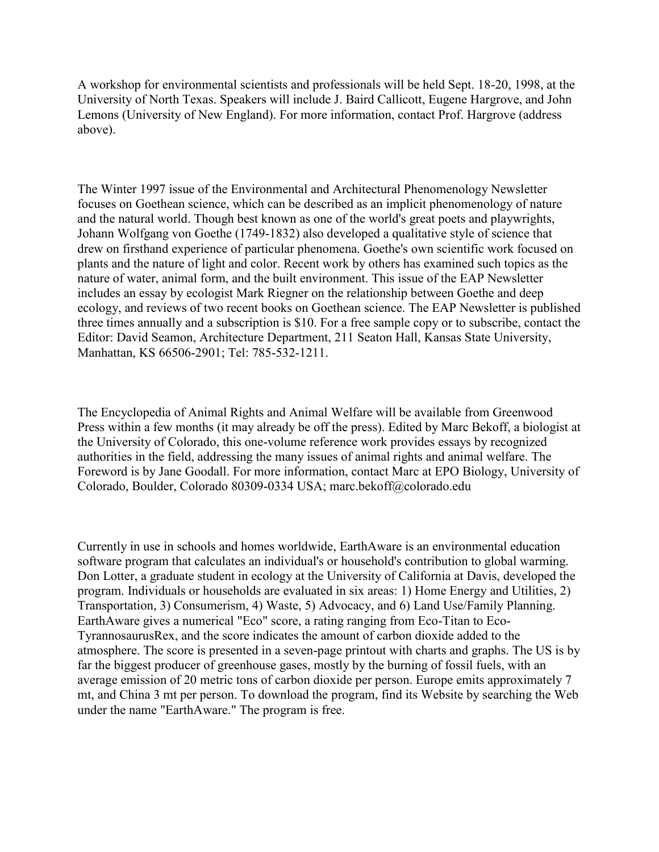A workshop for environmental scientists and professionals will be held Sept. 18-20, 1998, at the University of North Texas. Speakers will include J. Baird Callicott, Eugene Hargrove, and John Lemons (University of New England). For more information, contact Prof. Hargrove (address above).

The Winter 1997 issue of the Environmental and Architectural Phenomenology Newsletter focuses on Goethean science, which can be described as an implicit phenomenology of nature and the natural world. Though best known as one of the world's great poets and playwrights, Johann Wolfgang von Goethe (1749-1832) also developed a qualitative style of science that drew on firsthand experience of particular phenomena. Goethe's own scientific work focused on plants and the nature of light and color. Recent work by others has examined such topics as the nature of water, animal form, and the built environment. This issue of the EAP Newsletter includes an essay by ecologist Mark Riegner on the relationship between Goethe and deep ecology, and reviews of two recent books on Goethean science. The EAP Newsletter is published three times annually and a subscription is \$10. For a free sample copy or to subscribe, contact the Editor: David Seamon, Architecture Department, 211 Seaton Hall, Kansas State University, Manhattan, KS 66506-2901; Tel: 785-532-1211.

The Encyclopedia of Animal Rights and Animal Welfare will be available from Greenwood Press within a few months (it may already be off the press). Edited by Marc Bekoff, a biologist at the University of Colorado, this one-volume reference work provides essays by recognized authorities in the field, addressing the many issues of animal rights and animal welfare. The Foreword is by Jane Goodall. For more information, contact Marc at EPO Biology, University of Colorado, Boulder, Colorado 80309-0334 USA; marc.bekoff@colorado.edu

Currently in use in schools and homes worldwide, EarthAware is an environmental education software program that calculates an individual's or household's contribution to global warming. Don Lotter, a graduate student in ecology at the University of California at Davis, developed the program. Individuals or households are evaluated in six areas: 1) Home Energy and Utilities, 2) Transportation, 3) Consumerism, 4) Waste, 5) Advocacy, and 6) Land Use/Family Planning. EarthAware gives a numerical "Eco" score, a rating ranging from Eco-Titan to Eco-TyrannosaurusRex, and the score indicates the amount of carbon dioxide added to the atmosphere. The score is presented in a seven-page printout with charts and graphs. The US is by far the biggest producer of greenhouse gases, mostly by the burning of fossil fuels, with an average emission of 20 metric tons of carbon dioxide per person. Europe emits approximately 7 mt, and China 3 mt per person. To download the program, find its Website by searching the Web under the name "EarthAware." The program is free.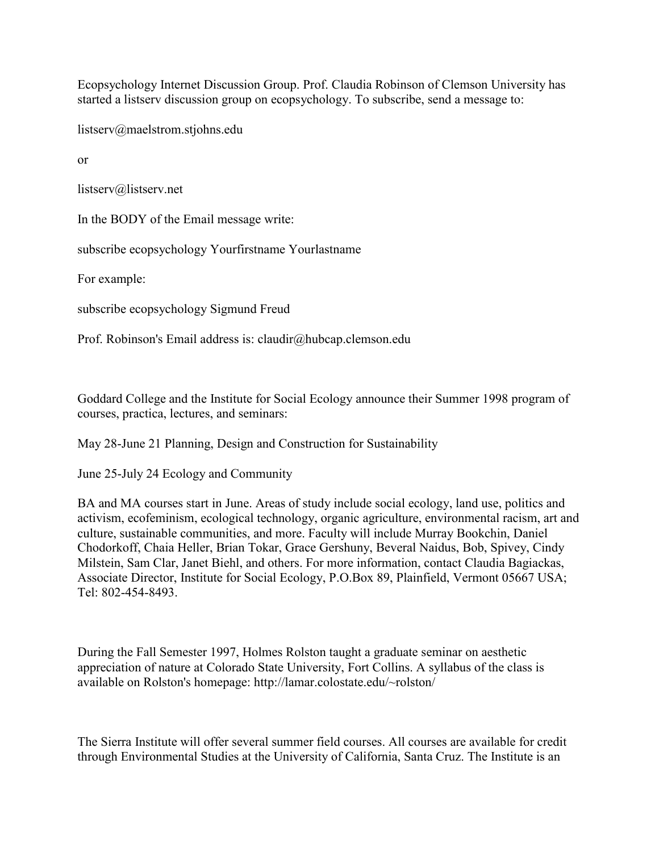Ecopsychology Internet Discussion Group. Prof. Claudia Robinson of Clemson University has started a listserv discussion group on ecopsychology. To subscribe, send a message to:

listserv@maelstrom.stjohns.edu

or

listserv@listserv.net

In the BODY of the Email message write:

subscribe ecopsychology Yourfirstname Yourlastname

For example:

subscribe ecopsychology Sigmund Freud

Prof. Robinson's Email address is: claudir@hubcap.clemson.edu

Goddard College and the Institute for Social Ecology announce their Summer 1998 program of courses, practica, lectures, and seminars:

May 28-June 21 Planning, Design and Construction for Sustainability

June 25-July 24 Ecology and Community

BA and MA courses start in June. Areas of study include social ecology, land use, politics and activism, ecofeminism, ecological technology, organic agriculture, environmental racism, art and culture, sustainable communities, and more. Faculty will include Murray Bookchin, Daniel Chodorkoff, Chaia Heller, Brian Tokar, Grace Gershuny, Beveral Naidus, Bob, Spivey, Cindy Milstein, Sam Clar, Janet Biehl, and others. For more information, contact Claudia Bagiackas, Associate Director, Institute for Social Ecology, P.O.Box 89, Plainfield, Vermont 05667 USA; Tel: 802-454-8493.

During the Fall Semester 1997, Holmes Rolston taught a graduate seminar on aesthetic appreciation of nature at Colorado State University, Fort Collins. A syllabus of the class is available on Rolston's homepage: http://lamar.colostate.edu/~rolston/

The Sierra Institute will offer several summer field courses. All courses are available for credit through Environmental Studies at the University of California, Santa Cruz. The Institute is an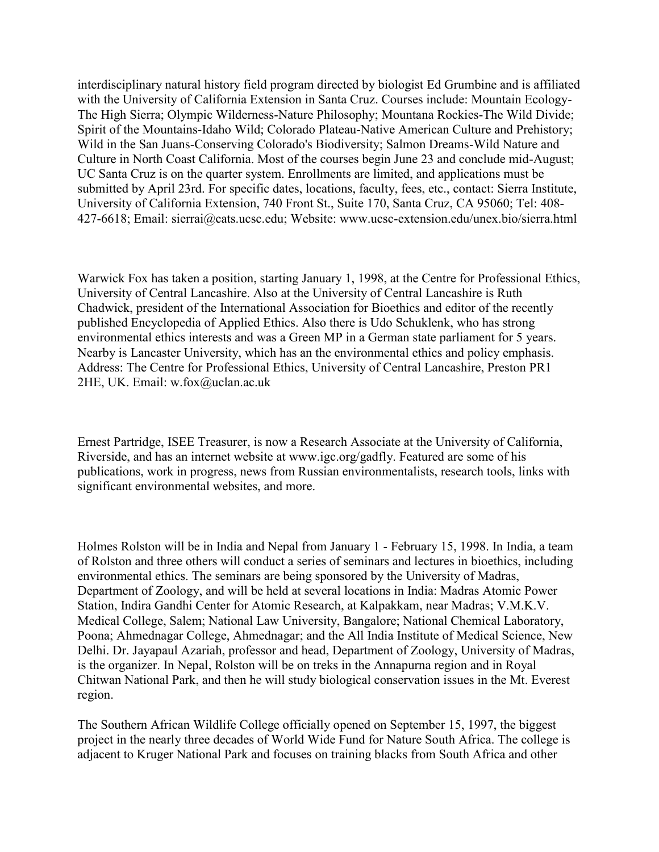interdisciplinary natural history field program directed by biologist Ed Grumbine and is affiliated with the University of California Extension in Santa Cruz. Courses include: Mountain Ecology-The High Sierra; Olympic Wilderness-Nature Philosophy; Mountana Rockies-The Wild Divide; Spirit of the Mountains-Idaho Wild; Colorado Plateau-Native American Culture and Prehistory; Wild in the San Juans-Conserving Colorado's Biodiversity; Salmon Dreams-Wild Nature and Culture in North Coast California. Most of the courses begin June 23 and conclude mid-August; UC Santa Cruz is on the quarter system. Enrollments are limited, and applications must be submitted by April 23rd. For specific dates, locations, faculty, fees, etc., contact: Sierra Institute, University of California Extension, 740 Front St., Suite 170, Santa Cruz, CA 95060; Tel: 408- 427-6618; Email: sierrai@cats.ucsc.edu; Website: www.ucsc-extension.edu/unex.bio/sierra.html

Warwick Fox has taken a position, starting January 1, 1998, at the Centre for Professional Ethics, University of Central Lancashire. Also at the University of Central Lancashire is Ruth Chadwick, president of the International Association for Bioethics and editor of the recently published Encyclopedia of Applied Ethics. Also there is Udo Schuklenk, who has strong environmental ethics interests and was a Green MP in a German state parliament for 5 years. Nearby is Lancaster University, which has an the environmental ethics and policy emphasis. Address: The Centre for Professional Ethics, University of Central Lancashire, Preston PR1 2HE, UK. Email: w.fox@uclan.ac.uk

Ernest Partridge, ISEE Treasurer, is now a Research Associate at the University of California, Riverside, and has an internet website at www.igc.org/gadfly. Featured are some of his publications, work in progress, news from Russian environmentalists, research tools, links with significant environmental websites, and more.

Holmes Rolston will be in India and Nepal from January 1 - February 15, 1998. In India, a team of Rolston and three others will conduct a series of seminars and lectures in bioethics, including environmental ethics. The seminars are being sponsored by the University of Madras, Department of Zoology, and will be held at several locations in India: Madras Atomic Power Station, Indira Gandhi Center for Atomic Research, at Kalpakkam, near Madras; V.M.K.V. Medical College, Salem; National Law University, Bangalore; National Chemical Laboratory, Poona; Ahmednagar College, Ahmednagar; and the All India Institute of Medical Science, New Delhi. Dr. Jayapaul Azariah, professor and head, Department of Zoology, University of Madras, is the organizer. In Nepal, Rolston will be on treks in the Annapurna region and in Royal Chitwan National Park, and then he will study biological conservation issues in the Mt. Everest region.

The Southern African Wildlife College officially opened on September 15, 1997, the biggest project in the nearly three decades of World Wide Fund for Nature South Africa. The college is adjacent to Kruger National Park and focuses on training blacks from South Africa and other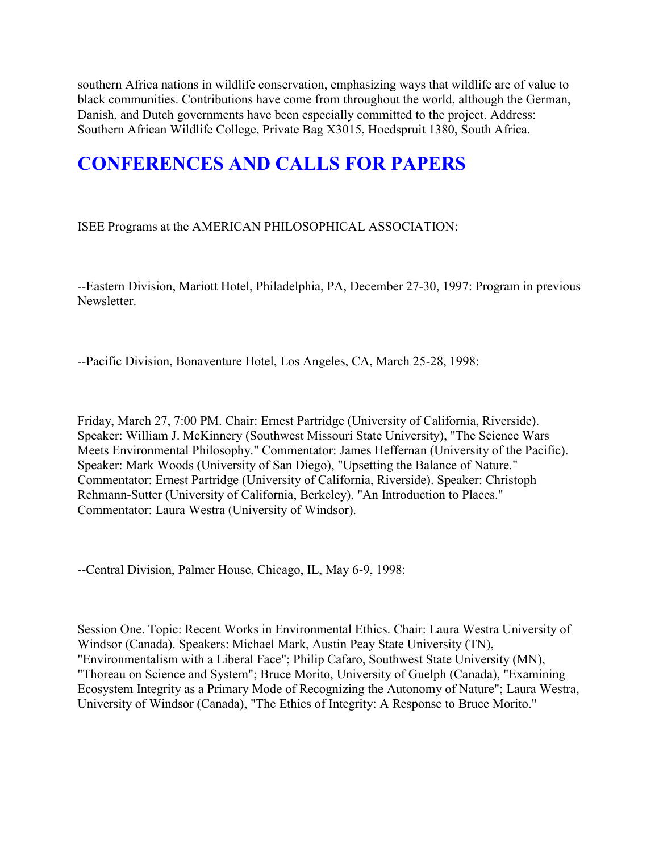southern Africa nations in wildlife conservation, emphasizing ways that wildlife are of value to black communities. Contributions have come from throughout the world, although the German, Danish, and Dutch governments have been especially committed to the project. Address: Southern African Wildlife College, Private Bag X3015, Hoedspruit 1380, South Africa.

## **CONFERENCES AND CALLS FOR PAPERS**

ISEE Programs at the AMERICAN PHILOSOPHICAL ASSOCIATION:

--Eastern Division, Mariott Hotel, Philadelphia, PA, December 27-30, 1997: Program in previous Newsletter.

--Pacific Division, Bonaventure Hotel, Los Angeles, CA, March 25-28, 1998:

Friday, March 27, 7:00 PM. Chair: Ernest Partridge (University of California, Riverside). Speaker: William J. McKinnery (Southwest Missouri State University), "The Science Wars Meets Environmental Philosophy." Commentator: James Heffernan (University of the Pacific). Speaker: Mark Woods (University of San Diego), "Upsetting the Balance of Nature." Commentator: Ernest Partridge (University of California, Riverside). Speaker: Christoph Rehmann-Sutter (University of California, Berkeley), "An Introduction to Places." Commentator: Laura Westra (University of Windsor).

--Central Division, Palmer House, Chicago, IL, May 6-9, 1998:

Session One. Topic: Recent Works in Environmental Ethics. Chair: Laura Westra University of Windsor (Canada). Speakers: Michael Mark, Austin Peay State University (TN), "Environmentalism with a Liberal Face"; Philip Cafaro, Southwest State University (MN), "Thoreau on Science and System"; Bruce Morito, University of Guelph (Canada), "Examining Ecosystem Integrity as a Primary Mode of Recognizing the Autonomy of Nature"; Laura Westra, University of Windsor (Canada), "The Ethics of Integrity: A Response to Bruce Morito."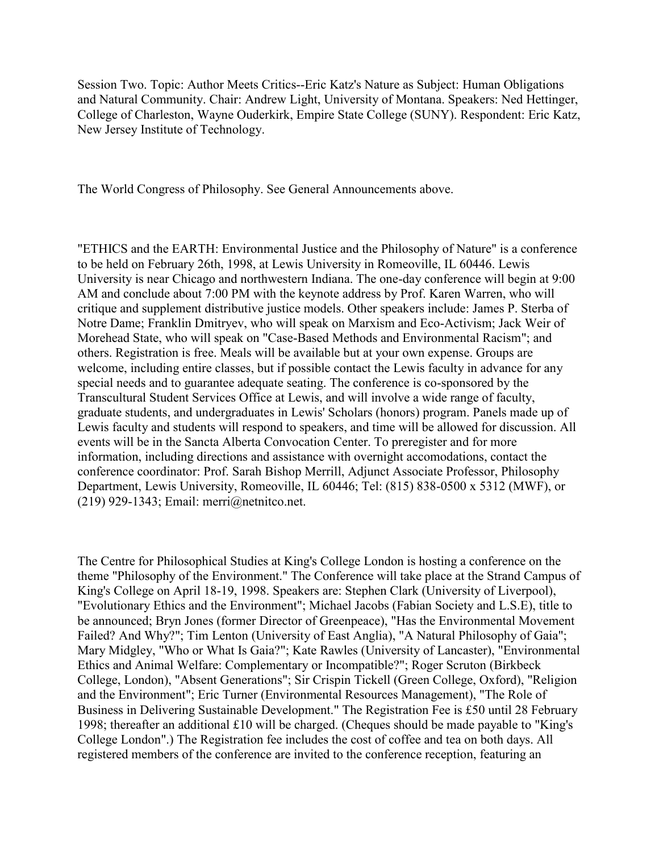Session Two. Topic: Author Meets Critics--Eric Katz's Nature as Subject: Human Obligations and Natural Community. Chair: Andrew Light, University of Montana. Speakers: Ned Hettinger, College of Charleston, Wayne Ouderkirk, Empire State College (SUNY). Respondent: Eric Katz, New Jersey Institute of Technology.

The World Congress of Philosophy. See General Announcements above.

"ETHICS and the EARTH: Environmental Justice and the Philosophy of Nature" is a conference to be held on February 26th, 1998, at Lewis University in Romeoville, IL 60446. Lewis University is near Chicago and northwestern Indiana. The one-day conference will begin at 9:00 AM and conclude about 7:00 PM with the keynote address by Prof. Karen Warren, who will critique and supplement distributive justice models. Other speakers include: James P. Sterba of Notre Dame; Franklin Dmitryev, who will speak on Marxism and Eco-Activism; Jack Weir of Morehead State, who will speak on "Case-Based Methods and Environmental Racism"; and others. Registration is free. Meals will be available but at your own expense. Groups are welcome, including entire classes, but if possible contact the Lewis faculty in advance for any special needs and to guarantee adequate seating. The conference is co-sponsored by the Transcultural Student Services Office at Lewis, and will involve a wide range of faculty, graduate students, and undergraduates in Lewis' Scholars (honors) program. Panels made up of Lewis faculty and students will respond to speakers, and time will be allowed for discussion. All events will be in the Sancta Alberta Convocation Center. To preregister and for more information, including directions and assistance with overnight accomodations, contact the conference coordinator: Prof. Sarah Bishop Merrill, Adjunct Associate Professor, Philosophy Department, Lewis University, Romeoville, IL 60446; Tel: (815) 838-0500 x 5312 (MWF), or (219) 929-1343; Email: merri@netnitco.net.

The Centre for Philosophical Studies at King's College London is hosting a conference on the theme "Philosophy of the Environment." The Conference will take place at the Strand Campus of King's College on April 18-19, 1998. Speakers are: Stephen Clark (University of Liverpool), "Evolutionary Ethics and the Environment"; Michael Jacobs (Fabian Society and L.S.E), title to be announced; Bryn Jones (former Director of Greenpeace), "Has the Environmental Movement Failed? And Why?"; Tim Lenton (University of East Anglia), "A Natural Philosophy of Gaia"; Mary Midgley, "Who or What Is Gaia?"; Kate Rawles (University of Lancaster), "Environmental Ethics and Animal Welfare: Complementary or Incompatible?"; Roger Scruton (Birkbeck College, London), "Absent Generations"; Sir Crispin Tickell (Green College, Oxford), "Religion and the Environment"; Eric Turner (Environmental Resources Management), "The Role of Business in Delivering Sustainable Development." The Registration Fee is £50 until 28 February 1998; thereafter an additional £10 will be charged. (Cheques should be made payable to "King's College London".) The Registration fee includes the cost of coffee and tea on both days. All registered members of the conference are invited to the conference reception, featuring an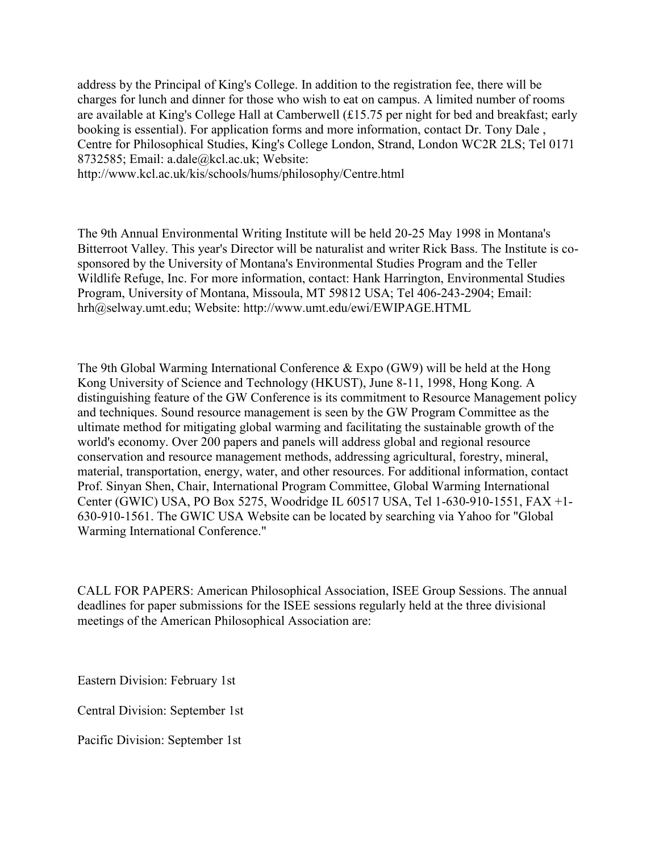address by the Principal of King's College. In addition to the registration fee, there will be charges for lunch and dinner for those who wish to eat on campus. A limited number of rooms are available at King's College Hall at Camberwell (£15.75 per night for bed and breakfast; early booking is essential). For application forms and more information, contact Dr. Tony Dale , Centre for Philosophical Studies, King's College London, Strand, London WC2R 2LS; Tel 0171 8732585; Email: a.dale@kcl.ac.uk; Website:

http://www.kcl.ac.uk/kis/schools/hums/philosophy/Centre.html

The 9th Annual Environmental Writing Institute will be held 20-25 May 1998 in Montana's Bitterroot Valley. This year's Director will be naturalist and writer Rick Bass. The Institute is cosponsored by the University of Montana's Environmental Studies Program and the Teller Wildlife Refuge, Inc. For more information, contact: Hank Harrington, Environmental Studies Program, University of Montana, Missoula, MT 59812 USA; Tel 406-243-2904; Email: hrh@selway.umt.edu; Website: http://www.umt.edu/ewi/EWIPAGE.HTML

The 9th Global Warming International Conference & Expo (GW9) will be held at the Hong Kong University of Science and Technology (HKUST), June 8-11, 1998, Hong Kong. A distinguishing feature of the GW Conference is its commitment to Resource Management policy and techniques. Sound resource management is seen by the GW Program Committee as the ultimate method for mitigating global warming and facilitating the sustainable growth of the world's economy. Over 200 papers and panels will address global and regional resource conservation and resource management methods, addressing agricultural, forestry, mineral, material, transportation, energy, water, and other resources. For additional information, contact Prof. Sinyan Shen, Chair, International Program Committee, Global Warming International Center (GWIC) USA, PO Box 5275, Woodridge IL 60517 USA, Tel 1-630-910-1551, FAX +1- 630-910-1561. The GWIC USA Website can be located by searching via Yahoo for "Global Warming International Conference."

CALL FOR PAPERS: American Philosophical Association, ISEE Group Sessions. The annual deadlines for paper submissions for the ISEE sessions regularly held at the three divisional meetings of the American Philosophical Association are:

Eastern Division: February 1st

Central Division: September 1st

Pacific Division: September 1st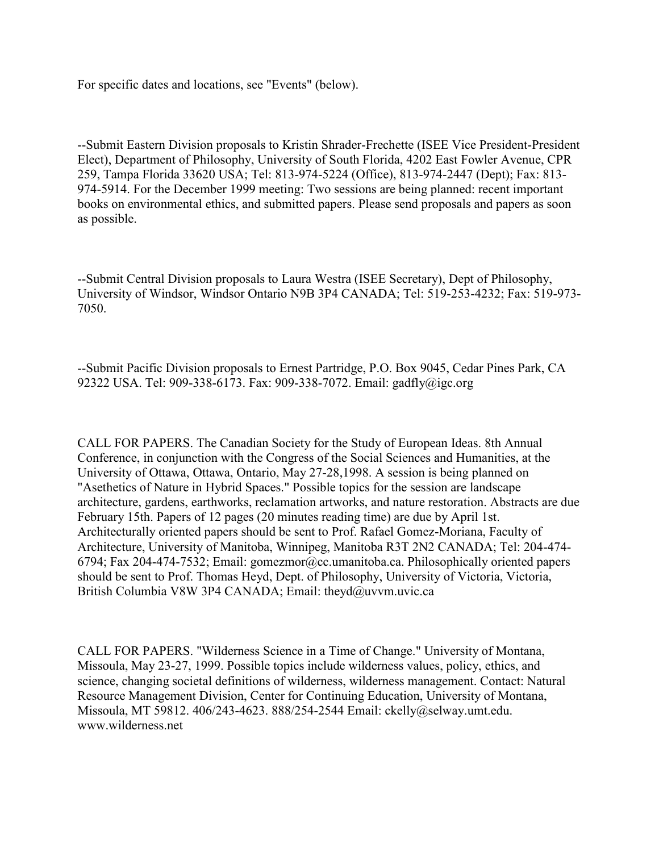For specific dates and locations, see "Events" (below).

--Submit Eastern Division proposals to Kristin Shrader-Frechette (ISEE Vice President-President Elect), Department of Philosophy, University of South Florida, 4202 East Fowler Avenue, CPR 259, Tampa Florida 33620 USA; Tel: 813-974-5224 (Office), 813-974-2447 (Dept); Fax: 813- 974-5914. For the December 1999 meeting: Two sessions are being planned: recent important books on environmental ethics, and submitted papers. Please send proposals and papers as soon as possible.

--Submit Central Division proposals to Laura Westra (ISEE Secretary), Dept of Philosophy, University of Windsor, Windsor Ontario N9B 3P4 CANADA; Tel: 519-253-4232; Fax: 519-973- 7050.

--Submit Pacific Division proposals to Ernest Partridge, P.O. Box 9045, Cedar Pines Park, CA 92322 USA. Tel: 909-338-6173. Fax: 909-338-7072. Email: gadfly@igc.org

CALL FOR PAPERS. The Canadian Society for the Study of European Ideas. 8th Annual Conference, in conjunction with the Congress of the Social Sciences and Humanities, at the University of Ottawa, Ottawa, Ontario, May 27-28,1998. A session is being planned on "Asethetics of Nature in Hybrid Spaces." Possible topics for the session are landscape architecture, gardens, earthworks, reclamation artworks, and nature restoration. Abstracts are due February 15th. Papers of 12 pages (20 minutes reading time) are due by April 1st. Architecturally oriented papers should be sent to Prof. Rafael Gomez-Moriana, Faculty of Architecture, University of Manitoba, Winnipeg, Manitoba R3T 2N2 CANADA; Tel: 204-474- 6794; Fax 204-474-7532; Email: gomezmor@cc.umanitoba.ca. Philosophically oriented papers should be sent to Prof. Thomas Heyd, Dept. of Philosophy, University of Victoria, Victoria, British Columbia V8W 3P4 CANADA; Email: theyd@uvvm.uvic.ca

CALL FOR PAPERS. "Wilderness Science in a Time of Change." University of Montana, Missoula, May 23-27, 1999. Possible topics include wilderness values, policy, ethics, and science, changing societal definitions of wilderness, wilderness management. Contact: Natural Resource Management Division, Center for Continuing Education, University of Montana, Missoula, MT 59812. 406/243-4623. 888/254-2544 Email: ckelly@selway.umt.edu. www.wilderness.net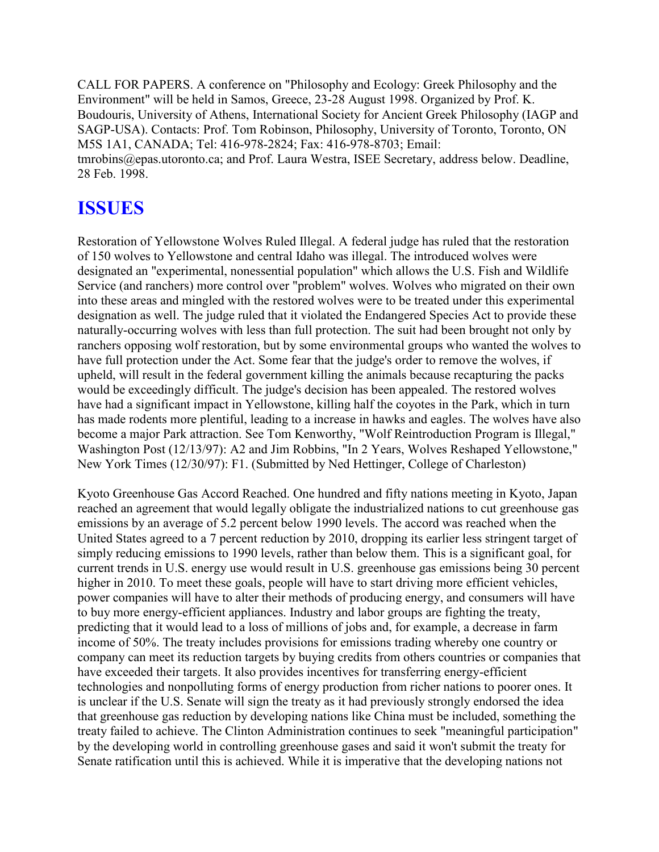CALL FOR PAPERS. A conference on "Philosophy and Ecology: Greek Philosophy and the Environment" will be held in Samos, Greece, 23-28 August 1998. Organized by Prof. K. Boudouris, University of Athens, International Society for Ancient Greek Philosophy (IAGP and SAGP-USA). Contacts: Prof. Tom Robinson, Philosophy, University of Toronto, Toronto, ON M5S 1A1, CANADA; Tel: 416-978-2824; Fax: 416-978-8703; Email: tmrobins@epas.utoronto.ca; and Prof. Laura Westra, ISEE Secretary, address below. Deadline, 28 Feb. 1998.

## **ISSUES**

Restoration of Yellowstone Wolves Ruled Illegal. A federal judge has ruled that the restoration of 150 wolves to Yellowstone and central Idaho was illegal. The introduced wolves were designated an "experimental, nonessential population" which allows the U.S. Fish and Wildlife Service (and ranchers) more control over "problem" wolves. Wolves who migrated on their own into these areas and mingled with the restored wolves were to be treated under this experimental designation as well. The judge ruled that it violated the Endangered Species Act to provide these naturally-occurring wolves with less than full protection. The suit had been brought not only by ranchers opposing wolf restoration, but by some environmental groups who wanted the wolves to have full protection under the Act. Some fear that the judge's order to remove the wolves, if upheld, will result in the federal government killing the animals because recapturing the packs would be exceedingly difficult. The judge's decision has been appealed. The restored wolves have had a significant impact in Yellowstone, killing half the coyotes in the Park, which in turn has made rodents more plentiful, leading to a increase in hawks and eagles. The wolves have also become a major Park attraction. See Tom Kenworthy, "Wolf Reintroduction Program is Illegal," Washington Post (12/13/97): A2 and Jim Robbins, "In 2 Years, Wolves Reshaped Yellowstone," New York Times (12/30/97): F1. (Submitted by Ned Hettinger, College of Charleston)

Kyoto Greenhouse Gas Accord Reached. One hundred and fifty nations meeting in Kyoto, Japan reached an agreement that would legally obligate the industrialized nations to cut greenhouse gas emissions by an average of 5.2 percent below 1990 levels. The accord was reached when the United States agreed to a 7 percent reduction by 2010, dropping its earlier less stringent target of simply reducing emissions to 1990 levels, rather than below them. This is a significant goal, for current trends in U.S. energy use would result in U.S. greenhouse gas emissions being 30 percent higher in 2010. To meet these goals, people will have to start driving more efficient vehicles, power companies will have to alter their methods of producing energy, and consumers will have to buy more energy-efficient appliances. Industry and labor groups are fighting the treaty, predicting that it would lead to a loss of millions of jobs and, for example, a decrease in farm income of 50%. The treaty includes provisions for emissions trading whereby one country or company can meet its reduction targets by buying credits from others countries or companies that have exceeded their targets. It also provides incentives for transferring energy-efficient technologies and nonpolluting forms of energy production from richer nations to poorer ones. It is unclear if the U.S. Senate will sign the treaty as it had previously strongly endorsed the idea that greenhouse gas reduction by developing nations like China must be included, something the treaty failed to achieve. The Clinton Administration continues to seek "meaningful participation" by the developing world in controlling greenhouse gases and said it won't submit the treaty for Senate ratification until this is achieved. While it is imperative that the developing nations not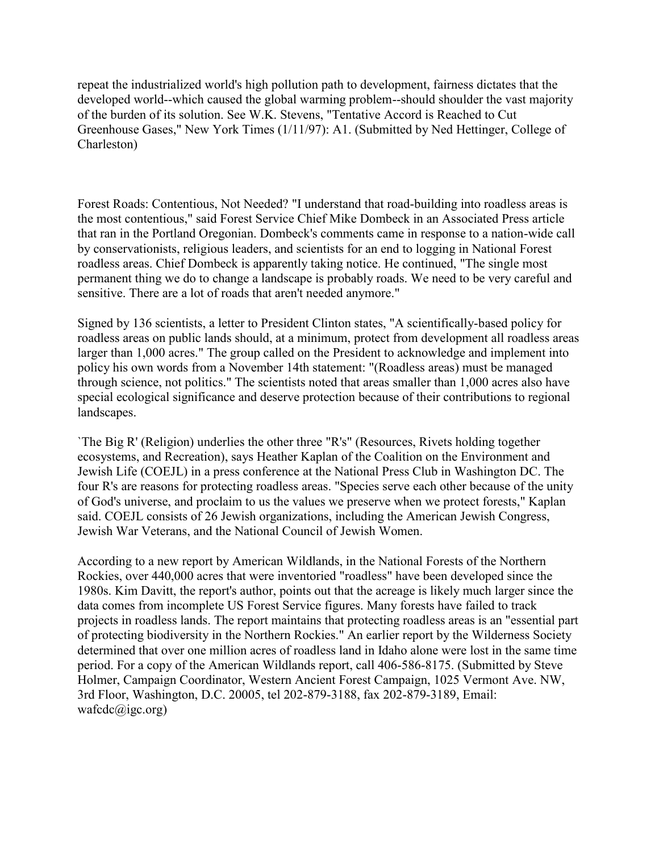repeat the industrialized world's high pollution path to development, fairness dictates that the developed world--which caused the global warming problem--should shoulder the vast majority of the burden of its solution. See W.K. Stevens, "Tentative Accord is Reached to Cut Greenhouse Gases," New York Times (1/11/97): A1. (Submitted by Ned Hettinger, College of Charleston)

Forest Roads: Contentious, Not Needed? "I understand that road-building into roadless areas is the most contentious," said Forest Service Chief Mike Dombeck in an Associated Press article that ran in the Portland Oregonian. Dombeck's comments came in response to a nation-wide call by conservationists, religious leaders, and scientists for an end to logging in National Forest roadless areas. Chief Dombeck is apparently taking notice. He continued, "The single most permanent thing we do to change a landscape is probably roads. We need to be very careful and sensitive. There are a lot of roads that aren't needed anymore."

Signed by 136 scientists, a letter to President Clinton states, "A scientifically-based policy for roadless areas on public lands should, at a minimum, protect from development all roadless areas larger than 1,000 acres." The group called on the President to acknowledge and implement into policy his own words from a November 14th statement: "(Roadless areas) must be managed through science, not politics." The scientists noted that areas smaller than 1,000 acres also have special ecological significance and deserve protection because of their contributions to regional landscapes.

`The Big R' (Religion) underlies the other three "R's" (Resources, Rivets holding together ecosystems, and Recreation), says Heather Kaplan of the Coalition on the Environment and Jewish Life (COEJL) in a press conference at the National Press Club in Washington DC. The four R's are reasons for protecting roadless areas. "Species serve each other because of the unity of God's universe, and proclaim to us the values we preserve when we protect forests," Kaplan said. COEJL consists of 26 Jewish organizations, including the American Jewish Congress, Jewish War Veterans, and the National Council of Jewish Women.

According to a new report by American Wildlands, in the National Forests of the Northern Rockies, over 440,000 acres that were inventoried "roadless" have been developed since the 1980s. Kim Davitt, the report's author, points out that the acreage is likely much larger since the data comes from incomplete US Forest Service figures. Many forests have failed to track projects in roadless lands. The report maintains that protecting roadless areas is an "essential part of protecting biodiversity in the Northern Rockies." An earlier report by the Wilderness Society determined that over one million acres of roadless land in Idaho alone were lost in the same time period. For a copy of the American Wildlands report, call 406-586-8175. (Submitted by Steve Holmer, Campaign Coordinator, Western Ancient Forest Campaign, 1025 Vermont Ave. NW, 3rd Floor, Washington, D.C. 20005, tel 202-879-3188, fax 202-879-3189, Email:  $wafcdc(a)$ igc.org)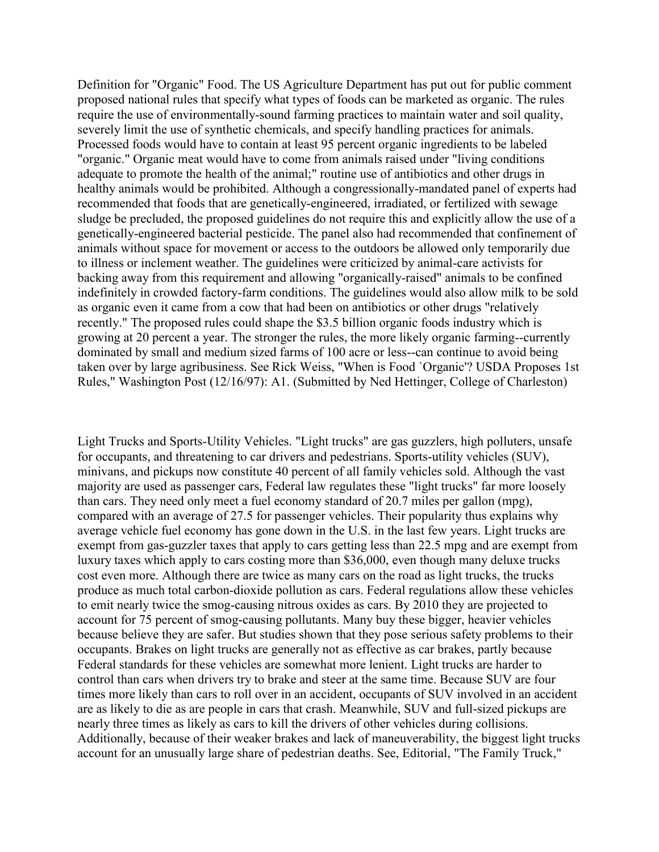Definition for "Organic" Food. The US Agriculture Department has put out for public comment proposed national rules that specify what types of foods can be marketed as organic. The rules require the use of environmentally-sound farming practices to maintain water and soil quality, severely limit the use of synthetic chemicals, and specify handling practices for animals. Processed foods would have to contain at least 95 percent organic ingredients to be labeled "organic." Organic meat would have to come from animals raised under "living conditions adequate to promote the health of the animal;" routine use of antibiotics and other drugs in healthy animals would be prohibited. Although a congressionally-mandated panel of experts had recommended that foods that are genetically-engineered, irradiated, or fertilized with sewage sludge be precluded, the proposed guidelines do not require this and explicitly allow the use of a genetically-engineered bacterial pesticide. The panel also had recommended that confinement of animals without space for movement or access to the outdoors be allowed only temporarily due to illness or inclement weather. The guidelines were criticized by animal-care activists for backing away from this requirement and allowing "organically-raised" animals to be confined indefinitely in crowded factory-farm conditions. The guidelines would also allow milk to be sold as organic even it came from a cow that had been on antibiotics or other drugs "relatively recently." The proposed rules could shape the \$3.5 billion organic foods industry which is growing at 20 percent a year. The stronger the rules, the more likely organic farming--currently dominated by small and medium sized farms of 100 acre or less--can continue to avoid being taken over by large agribusiness. See Rick Weiss, "When is Food `Organic'? USDA Proposes 1st Rules," Washington Post (12/16/97): A1. (Submitted by Ned Hettinger, College of Charleston)

Light Trucks and Sports-Utility Vehicles. "Light trucks" are gas guzzlers, high polluters, unsafe for occupants, and threatening to car drivers and pedestrians. Sports-utility vehicles (SUV), minivans, and pickups now constitute 40 percent of all family vehicles sold. Although the vast majority are used as passenger cars, Federal law regulates these "light trucks" far more loosely than cars. They need only meet a fuel economy standard of 20.7 miles per gallon (mpg), compared with an average of 27.5 for passenger vehicles. Their popularity thus explains why average vehicle fuel economy has gone down in the U.S. in the last few years. Light trucks are exempt from gas-guzzler taxes that apply to cars getting less than 22.5 mpg and are exempt from luxury taxes which apply to cars costing more than \$36,000, even though many deluxe trucks cost even more. Although there are twice as many cars on the road as light trucks, the trucks produce as much total carbon-dioxide pollution as cars. Federal regulations allow these vehicles to emit nearly twice the smog-causing nitrous oxides as cars. By 2010 they are projected to account for 75 percent of smog-causing pollutants. Many buy these bigger, heavier vehicles because believe they are safer. But studies shown that they pose serious safety problems to their occupants. Brakes on light trucks are generally not as effective as car brakes, partly because Federal standards for these vehicles are somewhat more lenient. Light trucks are harder to control than cars when drivers try to brake and steer at the same time. Because SUV are four times more likely than cars to roll over in an accident, occupants of SUV involved in an accident are as likely to die as are people in cars that crash. Meanwhile, SUV and full-sized pickups are nearly three times as likely as cars to kill the drivers of other vehicles during collisions. Additionally, because of their weaker brakes and lack of maneuverability, the biggest light trucks account for an unusually large share of pedestrian deaths. See, Editorial, "The Family Truck,"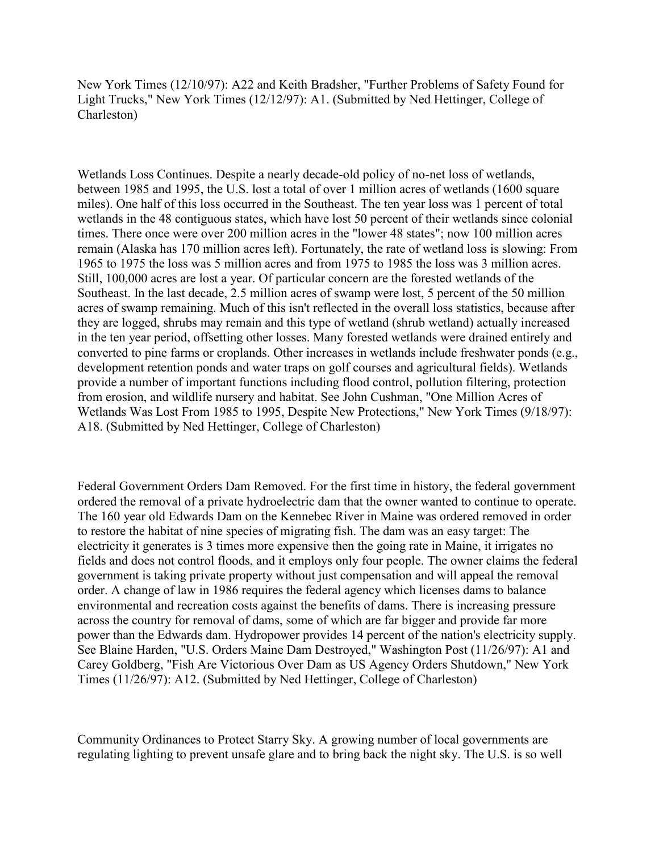New York Times (12/10/97): A22 and Keith Bradsher, "Further Problems of Safety Found for Light Trucks," New York Times (12/12/97): A1. (Submitted by Ned Hettinger, College of Charleston)

Wetlands Loss Continues. Despite a nearly decade-old policy of no-net loss of wetlands, between 1985 and 1995, the U.S. lost a total of over 1 million acres of wetlands (1600 square miles). One half of this loss occurred in the Southeast. The ten year loss was 1 percent of total wetlands in the 48 contiguous states, which have lost 50 percent of their wetlands since colonial times. There once were over 200 million acres in the "lower 48 states"; now 100 million acres remain (Alaska has 170 million acres left). Fortunately, the rate of wetland loss is slowing: From 1965 to 1975 the loss was 5 million acres and from 1975 to 1985 the loss was 3 million acres. Still, 100,000 acres are lost a year. Of particular concern are the forested wetlands of the Southeast. In the last decade, 2.5 million acres of swamp were lost, 5 percent of the 50 million acres of swamp remaining. Much of this isn't reflected in the overall loss statistics, because after they are logged, shrubs may remain and this type of wetland (shrub wetland) actually increased in the ten year period, offsetting other losses. Many forested wetlands were drained entirely and converted to pine farms or croplands. Other increases in wetlands include freshwater ponds (e.g., development retention ponds and water traps on golf courses and agricultural fields). Wetlands provide a number of important functions including flood control, pollution filtering, protection from erosion, and wildlife nursery and habitat. See John Cushman, "One Million Acres of Wetlands Was Lost From 1985 to 1995, Despite New Protections," New York Times (9/18/97): A18. (Submitted by Ned Hettinger, College of Charleston)

Federal Government Orders Dam Removed. For the first time in history, the federal government ordered the removal of a private hydroelectric dam that the owner wanted to continue to operate. The 160 year old Edwards Dam on the Kennebec River in Maine was ordered removed in order to restore the habitat of nine species of migrating fish. The dam was an easy target: The electricity it generates is 3 times more expensive then the going rate in Maine, it irrigates no fields and does not control floods, and it employs only four people. The owner claims the federal government is taking private property without just compensation and will appeal the removal order. A change of law in 1986 requires the federal agency which licenses dams to balance environmental and recreation costs against the benefits of dams. There is increasing pressure across the country for removal of dams, some of which are far bigger and provide far more power than the Edwards dam. Hydropower provides 14 percent of the nation's electricity supply. See Blaine Harden, "U.S. Orders Maine Dam Destroyed," Washington Post (11/26/97): A1 and Carey Goldberg, "Fish Are Victorious Over Dam as US Agency Orders Shutdown," New York Times (11/26/97): A12. (Submitted by Ned Hettinger, College of Charleston)

Community Ordinances to Protect Starry Sky. A growing number of local governments are regulating lighting to prevent unsafe glare and to bring back the night sky. The U.S. is so well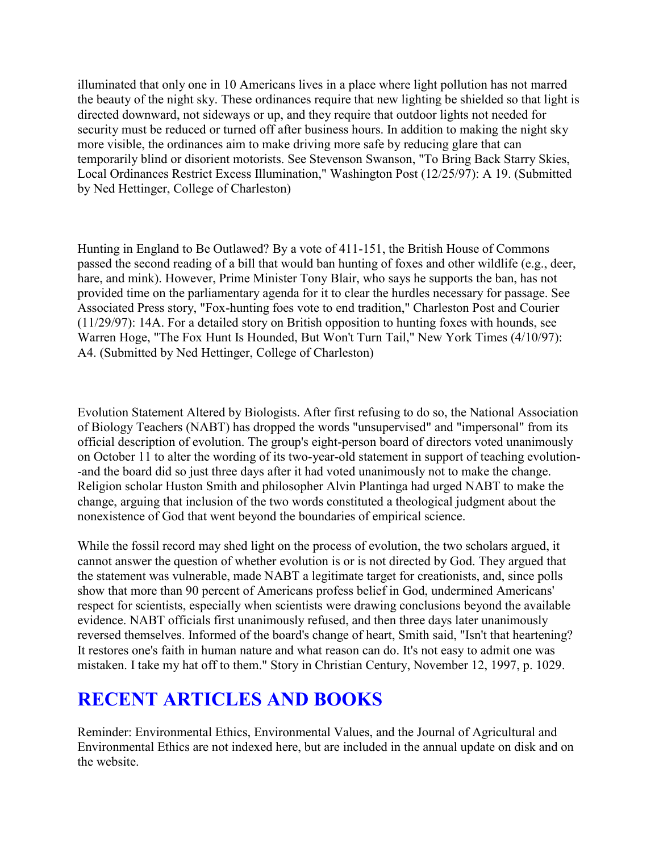illuminated that only one in 10 Americans lives in a place where light pollution has not marred the beauty of the night sky. These ordinances require that new lighting be shielded so that light is directed downward, not sideways or up, and they require that outdoor lights not needed for security must be reduced or turned off after business hours. In addition to making the night sky more visible, the ordinances aim to make driving more safe by reducing glare that can temporarily blind or disorient motorists. See Stevenson Swanson, "To Bring Back Starry Skies, Local Ordinances Restrict Excess Illumination," Washington Post (12/25/97): A 19. (Submitted by Ned Hettinger, College of Charleston)

Hunting in England to Be Outlawed? By a vote of 411-151, the British House of Commons passed the second reading of a bill that would ban hunting of foxes and other wildlife (e.g., deer, hare, and mink). However, Prime Minister Tony Blair, who says he supports the ban, has not provided time on the parliamentary agenda for it to clear the hurdles necessary for passage. See Associated Press story, "Fox-hunting foes vote to end tradition," Charleston Post and Courier (11/29/97): 14A. For a detailed story on British opposition to hunting foxes with hounds, see Warren Hoge, "The Fox Hunt Is Hounded, But Won't Turn Tail," New York Times (4/10/97): A4. (Submitted by Ned Hettinger, College of Charleston)

Evolution Statement Altered by Biologists. After first refusing to do so, the National Association of Biology Teachers (NABT) has dropped the words "unsupervised" and "impersonal" from its official description of evolution. The group's eight-person board of directors voted unanimously on October 11 to alter the wording of its two-year-old statement in support of teaching evolution- -and the board did so just three days after it had voted unanimously not to make the change. Religion scholar Huston Smith and philosopher Alvin Plantinga had urged NABT to make the change, arguing that inclusion of the two words constituted a theological judgment about the nonexistence of God that went beyond the boundaries of empirical science.

While the fossil record may shed light on the process of evolution, the two scholars argued, it cannot answer the question of whether evolution is or is not directed by God. They argued that the statement was vulnerable, made NABT a legitimate target for creationists, and, since polls show that more than 90 percent of Americans profess belief in God, undermined Americans' respect for scientists, especially when scientists were drawing conclusions beyond the available evidence. NABT officials first unanimously refused, and then three days later unanimously reversed themselves. Informed of the board's change of heart, Smith said, "Isn't that heartening? It restores one's faith in human nature and what reason can do. It's not easy to admit one was mistaken. I take my hat off to them." Story in Christian Century, November 12, 1997, p. 1029.

# **RECENT ARTICLES AND BOOKS**

Reminder: Environmental Ethics, Environmental Values, and the Journal of Agricultural and Environmental Ethics are not indexed here, but are included in the annual update on disk and on the website.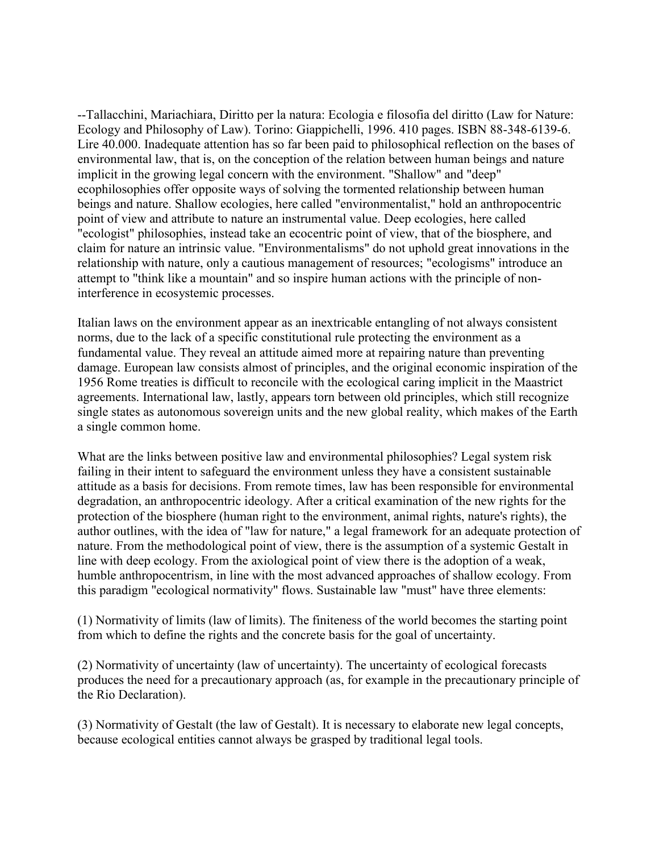--Tallacchini, Mariachiara, Diritto per la natura: Ecologia e filosofia del diritto (Law for Nature: Ecology and Philosophy of Law). Torino: Giappichelli, 1996. 410 pages. ISBN 88-348-6139-6. Lire 40.000. Inadequate attention has so far been paid to philosophical reflection on the bases of environmental law, that is, on the conception of the relation between human beings and nature implicit in the growing legal concern with the environment. "Shallow" and "deep" ecophilosophies offer opposite ways of solving the tormented relationship between human beings and nature. Shallow ecologies, here called "environmentalist," hold an anthropocentric point of view and attribute to nature an instrumental value. Deep ecologies, here called "ecologist" philosophies, instead take an ecocentric point of view, that of the biosphere, and claim for nature an intrinsic value. "Environmentalisms" do not uphold great innovations in the relationship with nature, only a cautious management of resources; "ecologisms" introduce an attempt to "think like a mountain" and so inspire human actions with the principle of noninterference in ecosystemic processes.

Italian laws on the environment appear as an inextricable entangling of not always consistent norms, due to the lack of a specific constitutional rule protecting the environment as a fundamental value. They reveal an attitude aimed more at repairing nature than preventing damage. European law consists almost of principles, and the original economic inspiration of the 1956 Rome treaties is difficult to reconcile with the ecological caring implicit in the Maastrict agreements. International law, lastly, appears torn between old principles, which still recognize single states as autonomous sovereign units and the new global reality, which makes of the Earth a single common home.

What are the links between positive law and environmental philosophies? Legal system risk failing in their intent to safeguard the environment unless they have a consistent sustainable attitude as a basis for decisions. From remote times, law has been responsible for environmental degradation, an anthropocentric ideology. After a critical examination of the new rights for the protection of the biosphere (human right to the environment, animal rights, nature's rights), the author outlines, with the idea of "law for nature," a legal framework for an adequate protection of nature. From the methodological point of view, there is the assumption of a systemic Gestalt in line with deep ecology. From the axiological point of view there is the adoption of a weak, humble anthropocentrism, in line with the most advanced approaches of shallow ecology. From this paradigm "ecological normativity" flows. Sustainable law "must" have three elements:

(1) Normativity of limits (law of limits). The finiteness of the world becomes the starting point from which to define the rights and the concrete basis for the goal of uncertainty.

(2) Normativity of uncertainty (law of uncertainty). The uncertainty of ecological forecasts produces the need for a precautionary approach (as, for example in the precautionary principle of the Rio Declaration).

(3) Normativity of Gestalt (the law of Gestalt). It is necessary to elaborate new legal concepts, because ecological entities cannot always be grasped by traditional legal tools.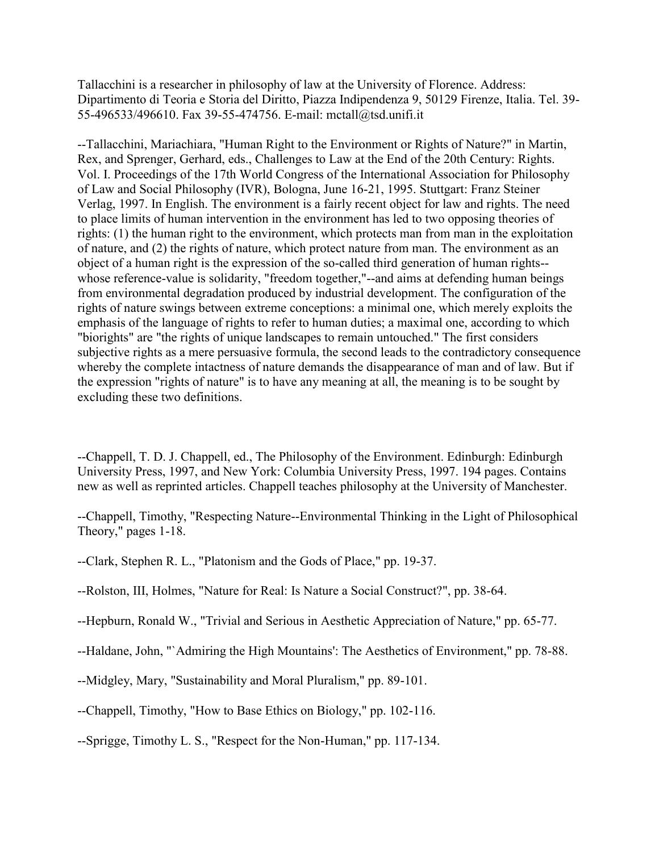Tallacchini is a researcher in philosophy of law at the University of Florence. Address: Dipartimento di Teoria e Storia del Diritto, Piazza Indipendenza 9, 50129 Firenze, Italia. Tel. 39- 55-496533/496610. Fax 39-55-474756. E-mail: mctall@tsd.unifi.it

--Tallacchini, Mariachiara, "Human Right to the Environment or Rights of Nature?" in Martin, Rex, and Sprenger, Gerhard, eds., Challenges to Law at the End of the 20th Century: Rights. Vol. I. Proceedings of the 17th World Congress of the International Association for Philosophy of Law and Social Philosophy (IVR), Bologna, June 16-21, 1995. Stuttgart: Franz Steiner Verlag, 1997. In English. The environment is a fairly recent object for law and rights. The need to place limits of human intervention in the environment has led to two opposing theories of rights: (1) the human right to the environment, which protects man from man in the exploitation of nature, and (2) the rights of nature, which protect nature from man. The environment as an object of a human right is the expression of the so-called third generation of human rights- whose reference-value is solidarity, "freedom together,"--and aims at defending human beings from environmental degradation produced by industrial development. The configuration of the rights of nature swings between extreme conceptions: a minimal one, which merely exploits the emphasis of the language of rights to refer to human duties; a maximal one, according to which "biorights" are "the rights of unique landscapes to remain untouched." The first considers subjective rights as a mere persuasive formula, the second leads to the contradictory consequence whereby the complete intactness of nature demands the disappearance of man and of law. But if the expression "rights of nature" is to have any meaning at all, the meaning is to be sought by excluding these two definitions.

--Chappell, T. D. J. Chappell, ed., The Philosophy of the Environment. Edinburgh: Edinburgh University Press, 1997, and New York: Columbia University Press, 1997. 194 pages. Contains new as well as reprinted articles. Chappell teaches philosophy at the University of Manchester.

--Chappell, Timothy, "Respecting Nature--Environmental Thinking in the Light of Philosophical Theory," pages 1-18.

- --Clark, Stephen R. L., "Platonism and the Gods of Place," pp. 19-37.
- --Rolston, III, Holmes, "Nature for Real: Is Nature a Social Construct?", pp. 38-64.
- --Hepburn, Ronald W., "Trivial and Serious in Aesthetic Appreciation of Nature," pp. 65-77.

--Haldane, John, "`Admiring the High Mountains': The Aesthetics of Environment," pp. 78-88.

--Midgley, Mary, "Sustainability and Moral Pluralism," pp. 89-101.

--Chappell, Timothy, "How to Base Ethics on Biology," pp. 102-116.

--Sprigge, Timothy L. S., "Respect for the Non-Human," pp. 117-134.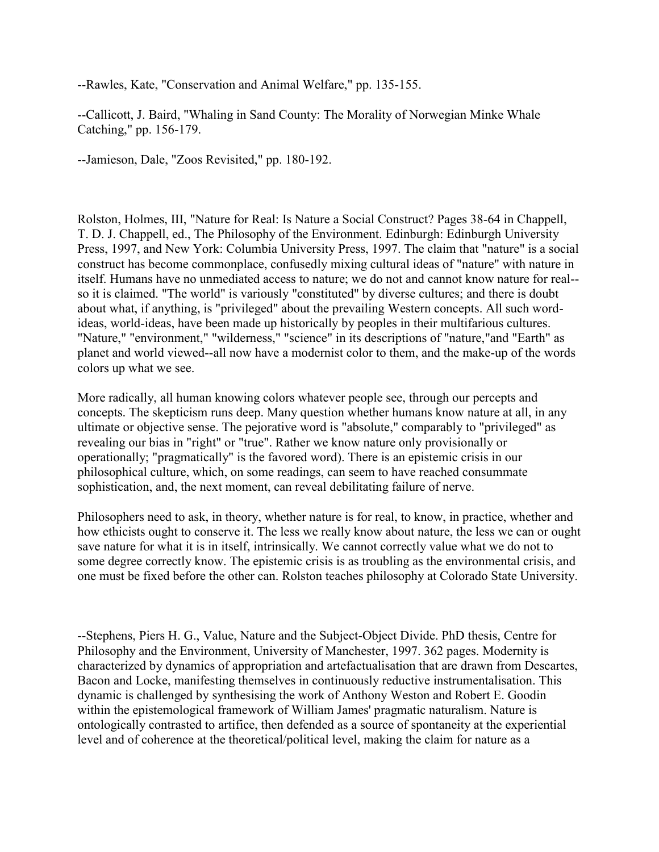--Rawles, Kate, "Conservation and Animal Welfare," pp. 135-155.

--Callicott, J. Baird, "Whaling in Sand County: The Morality of Norwegian Minke Whale Catching," pp. 156-179.

--Jamieson, Dale, "Zoos Revisited," pp. 180-192.

Rolston, Holmes, III, "Nature for Real: Is Nature a Social Construct? Pages 38-64 in Chappell, T. D. J. Chappell, ed., The Philosophy of the Environment. Edinburgh: Edinburgh University Press, 1997, and New York: Columbia University Press, 1997. The claim that "nature" is a social construct has become commonplace, confusedly mixing cultural ideas of "nature" with nature in itself. Humans have no unmediated access to nature; we do not and cannot know nature for real- so it is claimed. "The world" is variously "constituted" by diverse cultures; and there is doubt about what, if anything, is "privileged" about the prevailing Western concepts. All such wordideas, world-ideas, have been made up historically by peoples in their multifarious cultures. "Nature," "environment," "wilderness," "science" in its descriptions of "nature,"and "Earth" as planet and world viewed--all now have a modernist color to them, and the make-up of the words colors up what we see.

More radically, all human knowing colors whatever people see, through our percepts and concepts. The skepticism runs deep. Many question whether humans know nature at all, in any ultimate or objective sense. The pejorative word is "absolute," comparably to "privileged" as revealing our bias in "right" or "true". Rather we know nature only provisionally or operationally; "pragmatically" is the favored word). There is an epistemic crisis in our philosophical culture, which, on some readings, can seem to have reached consummate sophistication, and, the next moment, can reveal debilitating failure of nerve.

Philosophers need to ask, in theory, whether nature is for real, to know, in practice, whether and how ethicists ought to conserve it. The less we really know about nature, the less we can or ought save nature for what it is in itself, intrinsically. We cannot correctly value what we do not to some degree correctly know. The epistemic crisis is as troubling as the environmental crisis, and one must be fixed before the other can. Rolston teaches philosophy at Colorado State University.

--Stephens, Piers H. G., Value, Nature and the Subject-Object Divide. PhD thesis, Centre for Philosophy and the Environment, University of Manchester, 1997. 362 pages. Modernity is characterized by dynamics of appropriation and artefactualisation that are drawn from Descartes, Bacon and Locke, manifesting themselves in continuously reductive instrumentalisation. This dynamic is challenged by synthesising the work of Anthony Weston and Robert E. Goodin within the epistemological framework of William James' pragmatic naturalism. Nature is ontologically contrasted to artifice, then defended as a source of spontaneity at the experiential level and of coherence at the theoretical/political level, making the claim for nature as a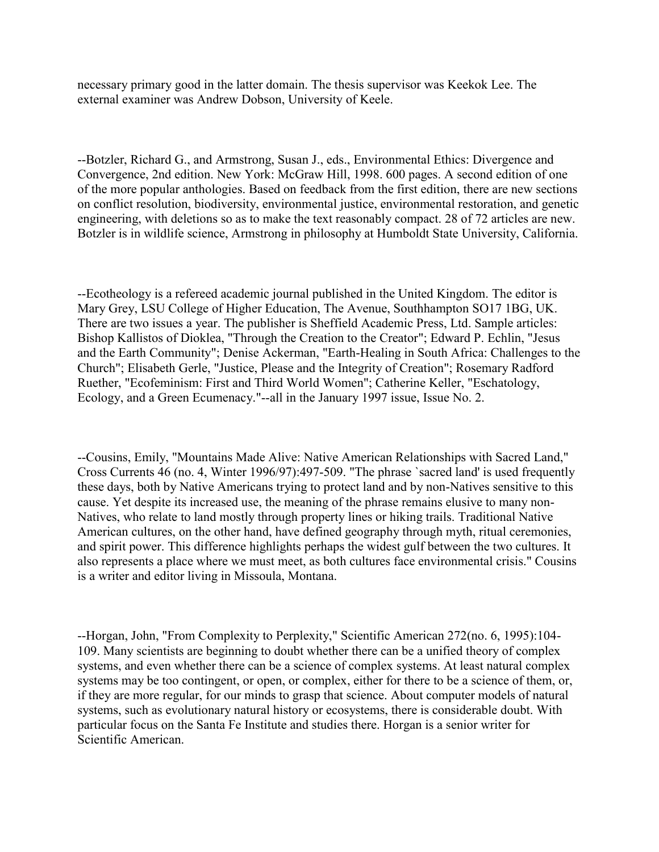necessary primary good in the latter domain. The thesis supervisor was Keekok Lee. The external examiner was Andrew Dobson, University of Keele.

--Botzler, Richard G., and Armstrong, Susan J., eds., Environmental Ethics: Divergence and Convergence, 2nd edition. New York: McGraw Hill, 1998. 600 pages. A second edition of one of the more popular anthologies. Based on feedback from the first edition, there are new sections on conflict resolution, biodiversity, environmental justice, environmental restoration, and genetic engineering, with deletions so as to make the text reasonably compact. 28 of 72 articles are new. Botzler is in wildlife science, Armstrong in philosophy at Humboldt State University, California.

--Ecotheology is a refereed academic journal published in the United Kingdom. The editor is Mary Grey, LSU College of Higher Education, The Avenue, Southhampton SO17 1BG, UK. There are two issues a year. The publisher is Sheffield Academic Press, Ltd. Sample articles: Bishop Kallistos of Dioklea, "Through the Creation to the Creator"; Edward P. Echlin, "Jesus and the Earth Community"; Denise Ackerman, "Earth-Healing in South Africa: Challenges to the Church"; Elisabeth Gerle, "Justice, Please and the Integrity of Creation"; Rosemary Radford Ruether, "Ecofeminism: First and Third World Women"; Catherine Keller, "Eschatology, Ecology, and a Green Ecumenacy."--all in the January 1997 issue, Issue No. 2.

--Cousins, Emily, "Mountains Made Alive: Native American Relationships with Sacred Land," Cross Currents 46 (no. 4, Winter 1996/97):497-509. "The phrase `sacred land' is used frequently these days, both by Native Americans trying to protect land and by non-Natives sensitive to this cause. Yet despite its increased use, the meaning of the phrase remains elusive to many non-Natives, who relate to land mostly through property lines or hiking trails. Traditional Native American cultures, on the other hand, have defined geography through myth, ritual ceremonies, and spirit power. This difference highlights perhaps the widest gulf between the two cultures. It also represents a place where we must meet, as both cultures face environmental crisis." Cousins is a writer and editor living in Missoula, Montana.

--Horgan, John, "From Complexity to Perplexity," Scientific American 272(no. 6, 1995):104- 109. Many scientists are beginning to doubt whether there can be a unified theory of complex systems, and even whether there can be a science of complex systems. At least natural complex systems may be too contingent, or open, or complex, either for there to be a science of them, or, if they are more regular, for our minds to grasp that science. About computer models of natural systems, such as evolutionary natural history or ecosystems, there is considerable doubt. With particular focus on the Santa Fe Institute and studies there. Horgan is a senior writer for Scientific American.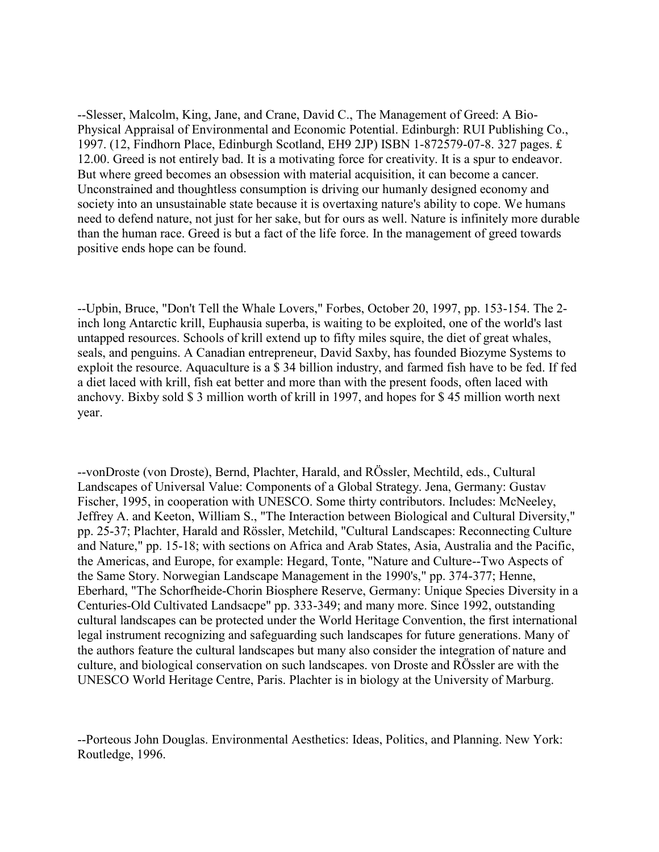--Slesser, Malcolm, King, Jane, and Crane, David C., The Management of Greed: A Bio-Physical Appraisal of Environmental and Economic Potential. Edinburgh: RUI Publishing Co., 1997. (12, Findhorn Place, Edinburgh Scotland, EH9 2JP) ISBN 1-872579-07-8. 327 pages. £ 12.00. Greed is not entirely bad. It is a motivating force for creativity. It is a spur to endeavor. But where greed becomes an obsession with material acquisition, it can become a cancer. Unconstrained and thoughtless consumption is driving our humanly designed economy and society into an unsustainable state because it is overtaxing nature's ability to cope. We humans need to defend nature, not just for her sake, but for ours as well. Nature is infinitely more durable than the human race. Greed is but a fact of the life force. In the management of greed towards positive ends hope can be found.

--Upbin, Bruce, "Don't Tell the Whale Lovers," Forbes, October 20, 1997, pp. 153-154. The 2 inch long Antarctic krill, Euphausia superba, is waiting to be exploited, one of the world's last untapped resources. Schools of krill extend up to fifty miles squire, the diet of great whales, seals, and penguins. A Canadian entrepreneur, David Saxby, has founded Biozyme Systems to exploit the resource. Aquaculture is a \$ 34 billion industry, and farmed fish have to be fed. If fed a diet laced with krill, fish eat better and more than with the present foods, often laced with anchovy. Bixby sold \$ 3 million worth of krill in 1997, and hopes for \$ 45 million worth next year.

--vonDroste (von Droste), Bernd, Plachter, Harald, and RÖssler, Mechtild, eds., Cultural Landscapes of Universal Value: Components of a Global Strategy. Jena, Germany: Gustav Fischer, 1995, in cooperation with UNESCO. Some thirty contributors. Includes: McNeeley, Jeffrey A. and Keeton, William S., "The Interaction between Biological and Cultural Diversity," pp. 25-37; Plachter, Harald and Rössler, Metchild, "Cultural Landscapes: Reconnecting Culture and Nature," pp. 15-18; with sections on Africa and Arab States, Asia, Australia and the Pacific, the Americas, and Europe, for example: Hegard, Tonte, "Nature and Culture--Two Aspects of the Same Story. Norwegian Landscape Management in the 1990's," pp. 374-377; Henne, Eberhard, "The Schorfheide-Chorin Biosphere Reserve, Germany: Unique Species Diversity in a Centuries-Old Cultivated Landsacpe" pp. 333-349; and many more. Since 1992, outstanding cultural landscapes can be protected under the World Heritage Convention, the first international legal instrument recognizing and safeguarding such landscapes for future generations. Many of the authors feature the cultural landscapes but many also consider the integration of nature and culture, and biological conservation on such landscapes. von Droste and RÖssler are with the UNESCO World Heritage Centre, Paris. Plachter is in biology at the University of Marburg.

--Porteous John Douglas. Environmental Aesthetics: Ideas, Politics, and Planning. New York: Routledge, 1996.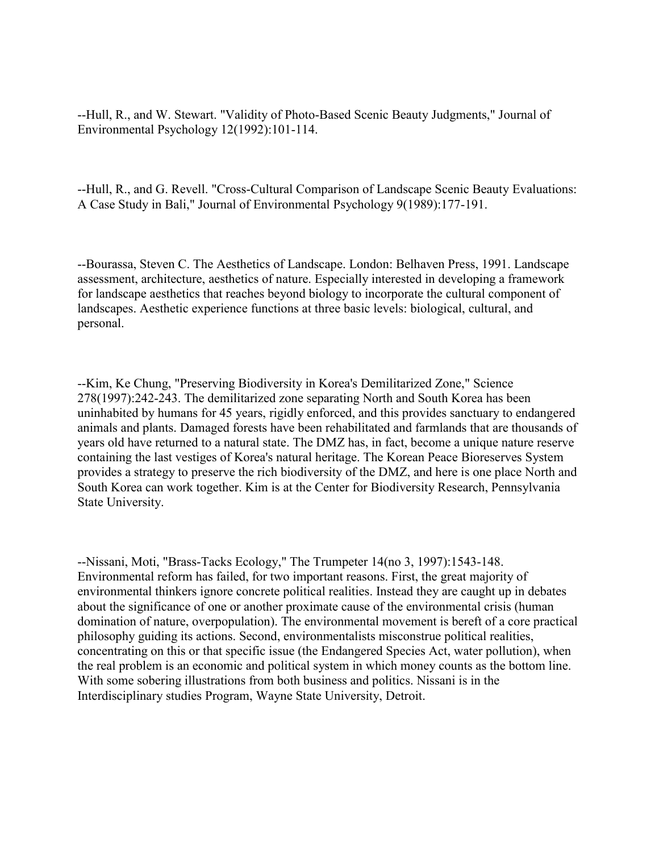--Hull, R., and W. Stewart. "Validity of Photo-Based Scenic Beauty Judgments," Journal of Environmental Psychology 12(1992):101-114.

--Hull, R., and G. Revell. "Cross-Cultural Comparison of Landscape Scenic Beauty Evaluations: A Case Study in Bali," Journal of Environmental Psychology 9(1989):177-191.

--Bourassa, Steven C. The Aesthetics of Landscape. London: Belhaven Press, 1991. Landscape assessment, architecture, aesthetics of nature. Especially interested in developing a framework for landscape aesthetics that reaches beyond biology to incorporate the cultural component of landscapes. Aesthetic experience functions at three basic levels: biological, cultural, and personal.

--Kim, Ke Chung, "Preserving Biodiversity in Korea's Demilitarized Zone," Science 278(1997):242-243. The demilitarized zone separating North and South Korea has been uninhabited by humans for 45 years, rigidly enforced, and this provides sanctuary to endangered animals and plants. Damaged forests have been rehabilitated and farmlands that are thousands of years old have returned to a natural state. The DMZ has, in fact, become a unique nature reserve containing the last vestiges of Korea's natural heritage. The Korean Peace Bioreserves System provides a strategy to preserve the rich biodiversity of the DMZ, and here is one place North and South Korea can work together. Kim is at the Center for Biodiversity Research, Pennsylvania State University.

--Nissani, Moti, "Brass-Tacks Ecology," The Trumpeter 14(no 3, 1997):1543-148. Environmental reform has failed, for two important reasons. First, the great majority of environmental thinkers ignore concrete political realities. Instead they are caught up in debates about the significance of one or another proximate cause of the environmental crisis (human domination of nature, overpopulation). The environmental movement is bereft of a core practical philosophy guiding its actions. Second, environmentalists misconstrue political realities, concentrating on this or that specific issue (the Endangered Species Act, water pollution), when the real problem is an economic and political system in which money counts as the bottom line. With some sobering illustrations from both business and politics. Nissani is in the Interdisciplinary studies Program, Wayne State University, Detroit.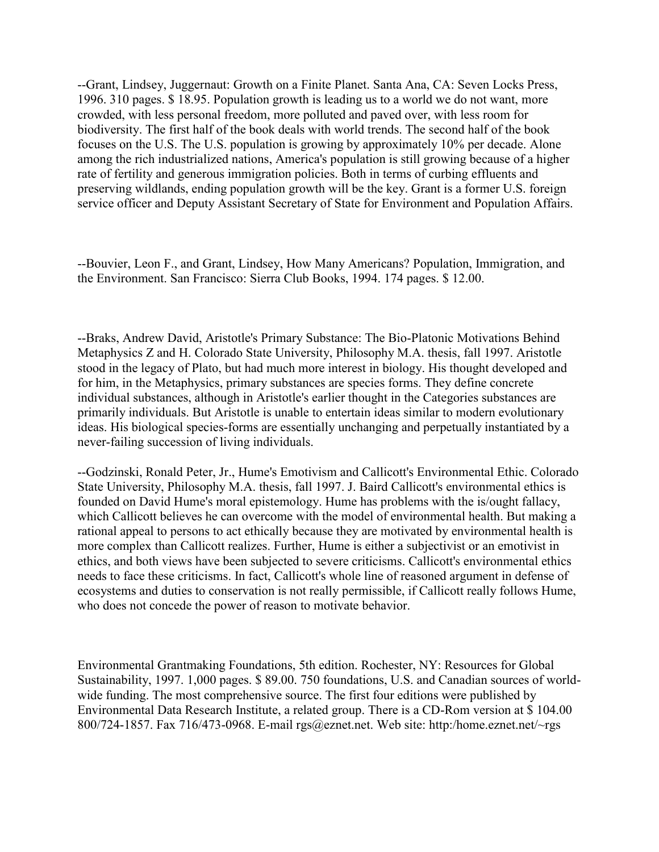--Grant, Lindsey, Juggernaut: Growth on a Finite Planet. Santa Ana, CA: Seven Locks Press, 1996. 310 pages. \$ 18.95. Population growth is leading us to a world we do not want, more crowded, with less personal freedom, more polluted and paved over, with less room for biodiversity. The first half of the book deals with world trends. The second half of the book focuses on the U.S. The U.S. population is growing by approximately 10% per decade. Alone among the rich industrialized nations, America's population is still growing because of a higher rate of fertility and generous immigration policies. Both in terms of curbing effluents and preserving wildlands, ending population growth will be the key. Grant is a former U.S. foreign service officer and Deputy Assistant Secretary of State for Environment and Population Affairs.

--Bouvier, Leon F., and Grant, Lindsey, How Many Americans? Population, Immigration, and the Environment. San Francisco: Sierra Club Books, 1994. 174 pages. \$ 12.00.

--Braks, Andrew David, Aristotle's Primary Substance: The Bio-Platonic Motivations Behind Metaphysics Z and H. Colorado State University, Philosophy M.A. thesis, fall 1997. Aristotle stood in the legacy of Plato, but had much more interest in biology. His thought developed and for him, in the Metaphysics, primary substances are species forms. They define concrete individual substances, although in Aristotle's earlier thought in the Categories substances are primarily individuals. But Aristotle is unable to entertain ideas similar to modern evolutionary ideas. His biological species-forms are essentially unchanging and perpetually instantiated by a never-failing succession of living individuals.

--Godzinski, Ronald Peter, Jr., Hume's Emotivism and Callicott's Environmental Ethic. Colorado State University, Philosophy M.A. thesis, fall 1997. J. Baird Callicott's environmental ethics is founded on David Hume's moral epistemology. Hume has problems with the is/ought fallacy, which Callicott believes he can overcome with the model of environmental health. But making a rational appeal to persons to act ethically because they are motivated by environmental health is more complex than Callicott realizes. Further, Hume is either a subjectivist or an emotivist in ethics, and both views have been subjected to severe criticisms. Callicott's environmental ethics needs to face these criticisms. In fact, Callicott's whole line of reasoned argument in defense of ecosystems and duties to conservation is not really permissible, if Callicott really follows Hume, who does not concede the power of reason to motivate behavior.

Environmental Grantmaking Foundations, 5th edition. Rochester, NY: Resources for Global Sustainability, 1997. 1,000 pages. \$ 89.00. 750 foundations, U.S. and Canadian sources of worldwide funding. The most comprehensive source. The first four editions were published by Environmental Data Research Institute, a related group. There is a CD-Rom version at \$ 104.00 800/724-1857. Fax 716/473-0968. E-mail rgs@eznet.net. Web site: http:/home.eznet.net/~rgs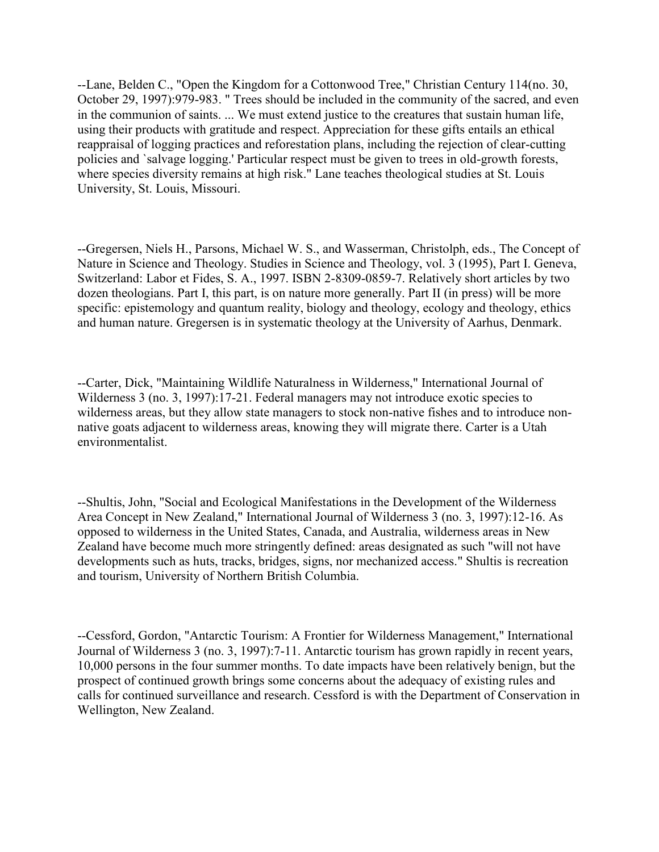--Lane, Belden C., "Open the Kingdom for a Cottonwood Tree," Christian Century 114(no. 30, October 29, 1997):979-983. " Trees should be included in the community of the sacred, and even in the communion of saints. ... We must extend justice to the creatures that sustain human life, using their products with gratitude and respect. Appreciation for these gifts entails an ethical reappraisal of logging practices and reforestation plans, including the rejection of clear-cutting policies and `salvage logging.' Particular respect must be given to trees in old-growth forests, where species diversity remains at high risk." Lane teaches theological studies at St. Louis University, St. Louis, Missouri.

--Gregersen, Niels H., Parsons, Michael W. S., and Wasserman, Christolph, eds., The Concept of Nature in Science and Theology. Studies in Science and Theology, vol. 3 (1995), Part I. Geneva, Switzerland: Labor et Fides, S. A., 1997. ISBN 2-8309-0859-7. Relatively short articles by two dozen theologians. Part I, this part, is on nature more generally. Part II (in press) will be more specific: epistemology and quantum reality, biology and theology, ecology and theology, ethics and human nature. Gregersen is in systematic theology at the University of Aarhus, Denmark.

--Carter, Dick, "Maintaining Wildlife Naturalness in Wilderness," International Journal of Wilderness 3 (no. 3, 1997):17-21. Federal managers may not introduce exotic species to wilderness areas, but they allow state managers to stock non-native fishes and to introduce nonnative goats adjacent to wilderness areas, knowing they will migrate there. Carter is a Utah environmentalist.

--Shultis, John, "Social and Ecological Manifestations in the Development of the Wilderness Area Concept in New Zealand," International Journal of Wilderness 3 (no. 3, 1997):12-16. As opposed to wilderness in the United States, Canada, and Australia, wilderness areas in New Zealand have become much more stringently defined: areas designated as such "will not have developments such as huts, tracks, bridges, signs, nor mechanized access." Shultis is recreation and tourism, University of Northern British Columbia.

--Cessford, Gordon, "Antarctic Tourism: A Frontier for Wilderness Management," International Journal of Wilderness 3 (no. 3, 1997):7-11. Antarctic tourism has grown rapidly in recent years, 10,000 persons in the four summer months. To date impacts have been relatively benign, but the prospect of continued growth brings some concerns about the adequacy of existing rules and calls for continued surveillance and research. Cessford is with the Department of Conservation in Wellington, New Zealand.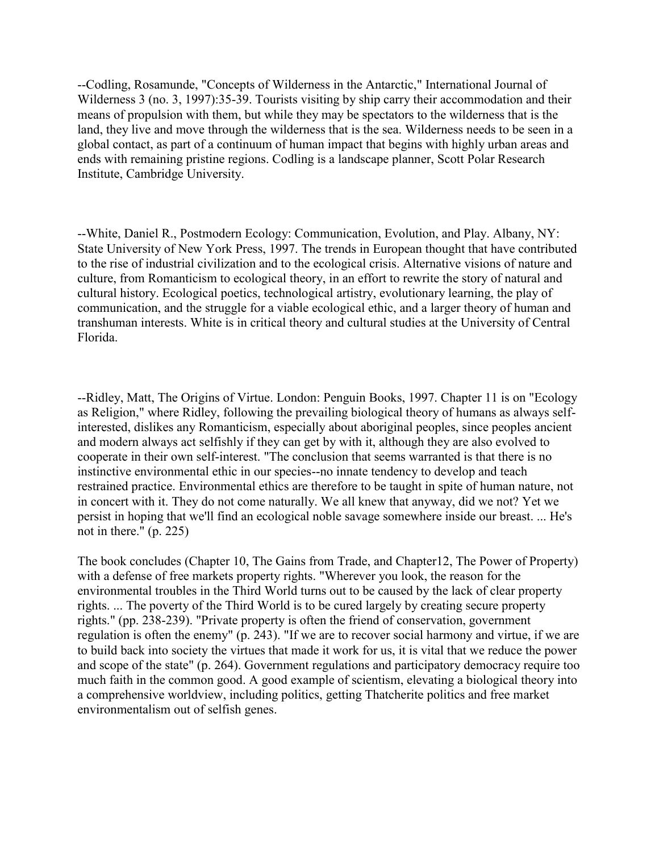--Codling, Rosamunde, "Concepts of Wilderness in the Antarctic," International Journal of Wilderness 3 (no. 3, 1997):35-39. Tourists visiting by ship carry their accommodation and their means of propulsion with them, but while they may be spectators to the wilderness that is the land, they live and move through the wilderness that is the sea. Wilderness needs to be seen in a global contact, as part of a continuum of human impact that begins with highly urban areas and ends with remaining pristine regions. Codling is a landscape planner, Scott Polar Research Institute, Cambridge University.

--White, Daniel R., Postmodern Ecology: Communication, Evolution, and Play. Albany, NY: State University of New York Press, 1997. The trends in European thought that have contributed to the rise of industrial civilization and to the ecological crisis. Alternative visions of nature and culture, from Romanticism to ecological theory, in an effort to rewrite the story of natural and cultural history. Ecological poetics, technological artistry, evolutionary learning, the play of communication, and the struggle for a viable ecological ethic, and a larger theory of human and transhuman interests. White is in critical theory and cultural studies at the University of Central Florida.

--Ridley, Matt, The Origins of Virtue. London: Penguin Books, 1997. Chapter 11 is on "Ecology as Religion," where Ridley, following the prevailing biological theory of humans as always selfinterested, dislikes any Romanticism, especially about aboriginal peoples, since peoples ancient and modern always act selfishly if they can get by with it, although they are also evolved to cooperate in their own self-interest. "The conclusion that seems warranted is that there is no instinctive environmental ethic in our species--no innate tendency to develop and teach restrained practice. Environmental ethics are therefore to be taught in spite of human nature, not in concert with it. They do not come naturally. We all knew that anyway, did we not? Yet we persist in hoping that we'll find an ecological noble savage somewhere inside our breast. ... He's not in there." (p. 225)

The book concludes (Chapter 10, The Gains from Trade, and Chapter12, The Power of Property) with a defense of free markets property rights. "Wherever you look, the reason for the environmental troubles in the Third World turns out to be caused by the lack of clear property rights. ... The poverty of the Third World is to be cured largely by creating secure property rights." (pp. 238-239). "Private property is often the friend of conservation, government regulation is often the enemy" (p. 243). "If we are to recover social harmony and virtue, if we are to build back into society the virtues that made it work for us, it is vital that we reduce the power and scope of the state" (p. 264). Government regulations and participatory democracy require too much faith in the common good. A good example of scientism, elevating a biological theory into a comprehensive worldview, including politics, getting Thatcherite politics and free market environmentalism out of selfish genes.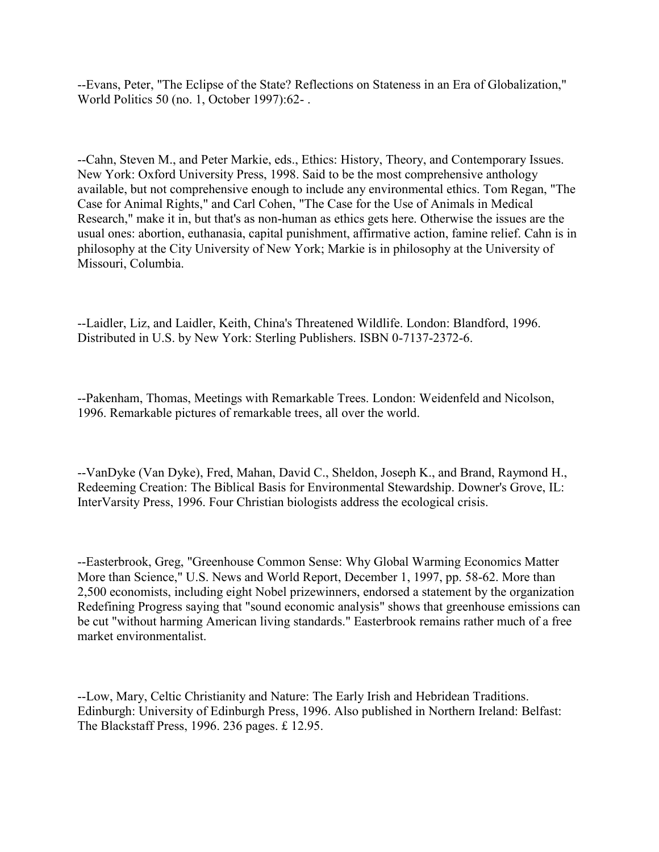--Evans, Peter, "The Eclipse of the State? Reflections on Stateness in an Era of Globalization," World Politics 50 (no. 1, October 1997):62- .

--Cahn, Steven M., and Peter Markie, eds., Ethics: History, Theory, and Contemporary Issues. New York: Oxford University Press, 1998. Said to be the most comprehensive anthology available, but not comprehensive enough to include any environmental ethics. Tom Regan, "The Case for Animal Rights," and Carl Cohen, "The Case for the Use of Animals in Medical Research," make it in, but that's as non-human as ethics gets here. Otherwise the issues are the usual ones: abortion, euthanasia, capital punishment, affirmative action, famine relief. Cahn is in philosophy at the City University of New York; Markie is in philosophy at the University of Missouri, Columbia.

--Laidler, Liz, and Laidler, Keith, China's Threatened Wildlife. London: Blandford, 1996. Distributed in U.S. by New York: Sterling Publishers. ISBN 0-7137-2372-6.

--Pakenham, Thomas, Meetings with Remarkable Trees. London: Weidenfeld and Nicolson, 1996. Remarkable pictures of remarkable trees, all over the world.

--VanDyke (Van Dyke), Fred, Mahan, David C., Sheldon, Joseph K., and Brand, Raymond H., Redeeming Creation: The Biblical Basis for Environmental Stewardship. Downer's Grove, IL: InterVarsity Press, 1996. Four Christian biologists address the ecological crisis.

--Easterbrook, Greg, "Greenhouse Common Sense: Why Global Warming Economics Matter More than Science," U.S. News and World Report, December 1, 1997, pp. 58-62. More than 2,500 economists, including eight Nobel prizewinners, endorsed a statement by the organization Redefining Progress saying that "sound economic analysis" shows that greenhouse emissions can be cut "without harming American living standards." Easterbrook remains rather much of a free market environmentalist.

--Low, Mary, Celtic Christianity and Nature: The Early Irish and Hebridean Traditions. Edinburgh: University of Edinburgh Press, 1996. Also published in Northern Ireland: Belfast: The Blackstaff Press, 1996. 236 pages. £ 12.95.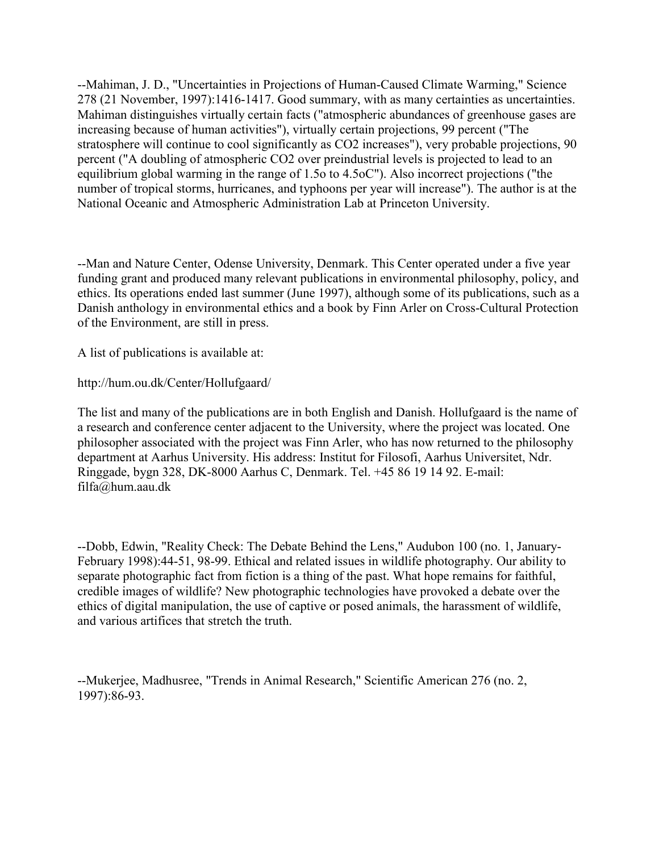--Mahiman, J. D., "Uncertainties in Projections of Human-Caused Climate Warming," Science 278 (21 November, 1997):1416-1417. Good summary, with as many certainties as uncertainties. Mahiman distinguishes virtually certain facts ("atmospheric abundances of greenhouse gases are increasing because of human activities"), virtually certain projections, 99 percent ("The stratosphere will continue to cool significantly as CO2 increases"), very probable projections, 90 percent ("A doubling of atmospheric CO2 over preindustrial levels is projected to lead to an equilibrium global warming in the range of 1.5o to 4.5oC"). Also incorrect projections ("the number of tropical storms, hurricanes, and typhoons per year will increase"). The author is at the National Oceanic and Atmospheric Administration Lab at Princeton University.

--Man and Nature Center, Odense University, Denmark. This Center operated under a five year funding grant and produced many relevant publications in environmental philosophy, policy, and ethics. Its operations ended last summer (June 1997), although some of its publications, such as a Danish anthology in environmental ethics and a book by Finn Arler on Cross-Cultural Protection of the Environment, are still in press.

A list of publications is available at:

http://hum.ou.dk/Center/Hollufgaard/

The list and many of the publications are in both English and Danish. Hollufgaard is the name of a research and conference center adjacent to the University, where the project was located. One philosopher associated with the project was Finn Arler, who has now returned to the philosophy department at Aarhus University. His address: Institut for Filosofi, Aarhus Universitet, Ndr. Ringgade, bygn 328, DK-8000 Aarhus C, Denmark. Tel. +45 86 19 14 92. E-mail: filfa@hum.aau.dk

--Dobb, Edwin, "Reality Check: The Debate Behind the Lens," Audubon 100 (no. 1, January-February 1998):44-51, 98-99. Ethical and related issues in wildlife photography. Our ability to separate photographic fact from fiction is a thing of the past. What hope remains for faithful, credible images of wildlife? New photographic technologies have provoked a debate over the ethics of digital manipulation, the use of captive or posed animals, the harassment of wildlife, and various artifices that stretch the truth.

--Mukerjee, Madhusree, "Trends in Animal Research," Scientific American 276 (no. 2, 1997):86-93.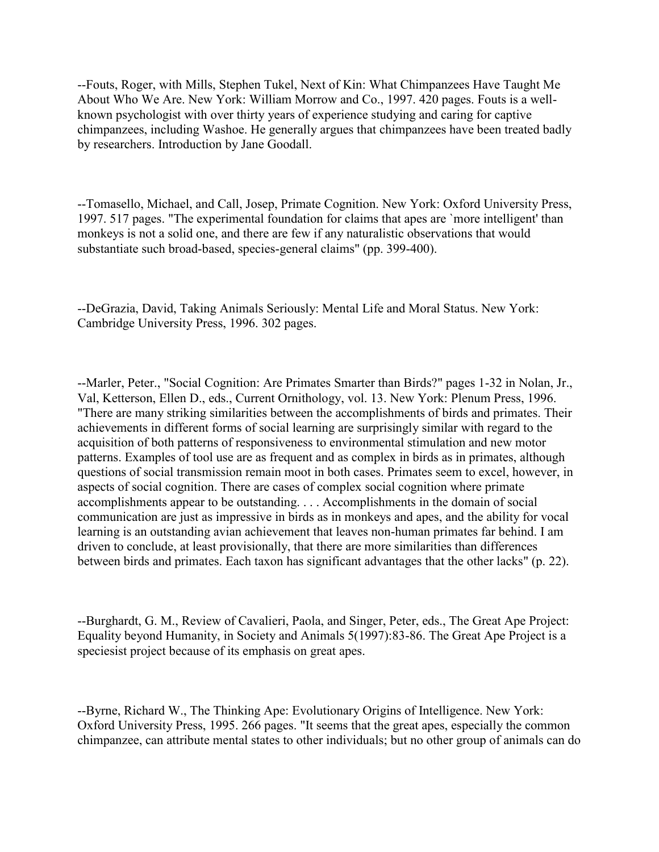--Fouts, Roger, with Mills, Stephen Tukel, Next of Kin: What Chimpanzees Have Taught Me About Who We Are. New York: William Morrow and Co., 1997. 420 pages. Fouts is a wellknown psychologist with over thirty years of experience studying and caring for captive chimpanzees, including Washoe. He generally argues that chimpanzees have been treated badly by researchers. Introduction by Jane Goodall.

--Tomasello, Michael, and Call, Josep, Primate Cognition. New York: Oxford University Press, 1997. 517 pages. "The experimental foundation for claims that apes are `more intelligent' than monkeys is not a solid one, and there are few if any naturalistic observations that would substantiate such broad-based, species-general claims" (pp. 399-400).

--DeGrazia, David, Taking Animals Seriously: Mental Life and Moral Status. New York: Cambridge University Press, 1996. 302 pages.

--Marler, Peter., "Social Cognition: Are Primates Smarter than Birds?" pages 1-32 in Nolan, Jr., Val, Ketterson, Ellen D., eds., Current Ornithology, vol. 13. New York: Plenum Press, 1996. "There are many striking similarities between the accomplishments of birds and primates. Their achievements in different forms of social learning are surprisingly similar with regard to the acquisition of both patterns of responsiveness to environmental stimulation and new motor patterns. Examples of tool use are as frequent and as complex in birds as in primates, although questions of social transmission remain moot in both cases. Primates seem to excel, however, in aspects of social cognition. There are cases of complex social cognition where primate accomplishments appear to be outstanding. . . . Accomplishments in the domain of social communication are just as impressive in birds as in monkeys and apes, and the ability for vocal learning is an outstanding avian achievement that leaves non-human primates far behind. I am driven to conclude, at least provisionally, that there are more similarities than differences between birds and primates. Each taxon has significant advantages that the other lacks" (p. 22).

--Burghardt, G. M., Review of Cavalieri, Paola, and Singer, Peter, eds., The Great Ape Project: Equality beyond Humanity, in Society and Animals 5(1997):83-86. The Great Ape Project is a speciesist project because of its emphasis on great apes.

--Byrne, Richard W., The Thinking Ape: Evolutionary Origins of Intelligence. New York: Oxford University Press, 1995. 266 pages. "It seems that the great apes, especially the common chimpanzee, can attribute mental states to other individuals; but no other group of animals can do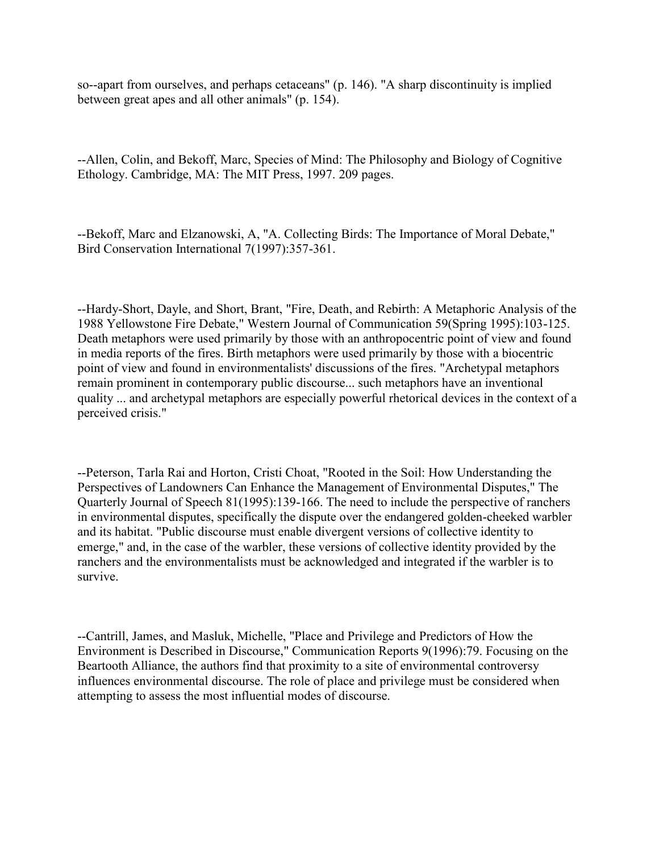so--apart from ourselves, and perhaps cetaceans" (p. 146). "A sharp discontinuity is implied between great apes and all other animals" (p. 154).

--Allen, Colin, and Bekoff, Marc, Species of Mind: The Philosophy and Biology of Cognitive Ethology. Cambridge, MA: The MIT Press, 1997. 209 pages.

--Bekoff, Marc and Elzanowski, A, "A. Collecting Birds: The Importance of Moral Debate," Bird Conservation International 7(1997):357-361.

--Hardy-Short, Dayle, and Short, Brant, "Fire, Death, and Rebirth: A Metaphoric Analysis of the 1988 Yellowstone Fire Debate," Western Journal of Communication 59(Spring 1995):103-125. Death metaphors were used primarily by those with an anthropocentric point of view and found in media reports of the fires. Birth metaphors were used primarily by those with a biocentric point of view and found in environmentalists' discussions of the fires. "Archetypal metaphors remain prominent in contemporary public discourse... such metaphors have an inventional quality ... and archetypal metaphors are especially powerful rhetorical devices in the context of a perceived crisis."

--Peterson, Tarla Rai and Horton, Cristi Choat, "Rooted in the Soil: How Understanding the Perspectives of Landowners Can Enhance the Management of Environmental Disputes," The Quarterly Journal of Speech 81(1995):139-166. The need to include the perspective of ranchers in environmental disputes, specifically the dispute over the endangered golden-cheeked warbler and its habitat. "Public discourse must enable divergent versions of collective identity to emerge," and, in the case of the warbler, these versions of collective identity provided by the ranchers and the environmentalists must be acknowledged and integrated if the warbler is to survive.

--Cantrill, James, and Masluk, Michelle, "Place and Privilege and Predictors of How the Environment is Described in Discourse," Communication Reports 9(1996):79. Focusing on the Beartooth Alliance, the authors find that proximity to a site of environmental controversy influences environmental discourse. The role of place and privilege must be considered when attempting to assess the most influential modes of discourse.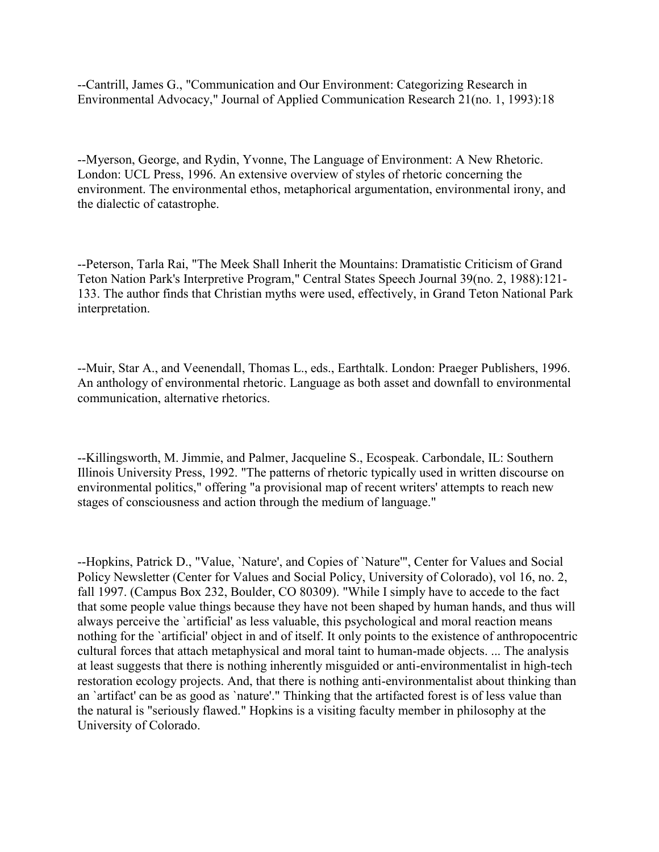--Cantrill, James G., "Communication and Our Environment: Categorizing Research in Environmental Advocacy," Journal of Applied Communication Research 21(no. 1, 1993):18

--Myerson, George, and Rydin, Yvonne, The Language of Environment: A New Rhetoric. London: UCL Press, 1996. An extensive overview of styles of rhetoric concerning the environment. The environmental ethos, metaphorical argumentation, environmental irony, and the dialectic of catastrophe.

--Peterson, Tarla Rai, "The Meek Shall Inherit the Mountains: Dramatistic Criticism of Grand Teton Nation Park's Interpretive Program," Central States Speech Journal 39(no. 2, 1988):121- 133. The author finds that Christian myths were used, effectively, in Grand Teton National Park interpretation.

--Muir, Star A., and Veenendall, Thomas L., eds., Earthtalk. London: Praeger Publishers, 1996. An anthology of environmental rhetoric. Language as both asset and downfall to environmental communication, alternative rhetorics.

--Killingsworth, M. Jimmie, and Palmer, Jacqueline S., Ecospeak. Carbondale, IL: Southern Illinois University Press, 1992. "The patterns of rhetoric typically used in written discourse on environmental politics," offering "a provisional map of recent writers' attempts to reach new stages of consciousness and action through the medium of language."

--Hopkins, Patrick D., "Value, `Nature', and Copies of `Nature'", Center for Values and Social Policy Newsletter (Center for Values and Social Policy, University of Colorado), vol 16, no. 2, fall 1997. (Campus Box 232, Boulder, CO 80309). "While I simply have to accede to the fact that some people value things because they have not been shaped by human hands, and thus will always perceive the `artificial' as less valuable, this psychological and moral reaction means nothing for the `artificial' object in and of itself. It only points to the existence of anthropocentric cultural forces that attach metaphysical and moral taint to human-made objects. ... The analysis at least suggests that there is nothing inherently misguided or anti-environmentalist in high-tech restoration ecology projects. And, that there is nothing anti-environmentalist about thinking than an `artifact' can be as good as `nature'." Thinking that the artifacted forest is of less value than the natural is "seriously flawed." Hopkins is a visiting faculty member in philosophy at the University of Colorado.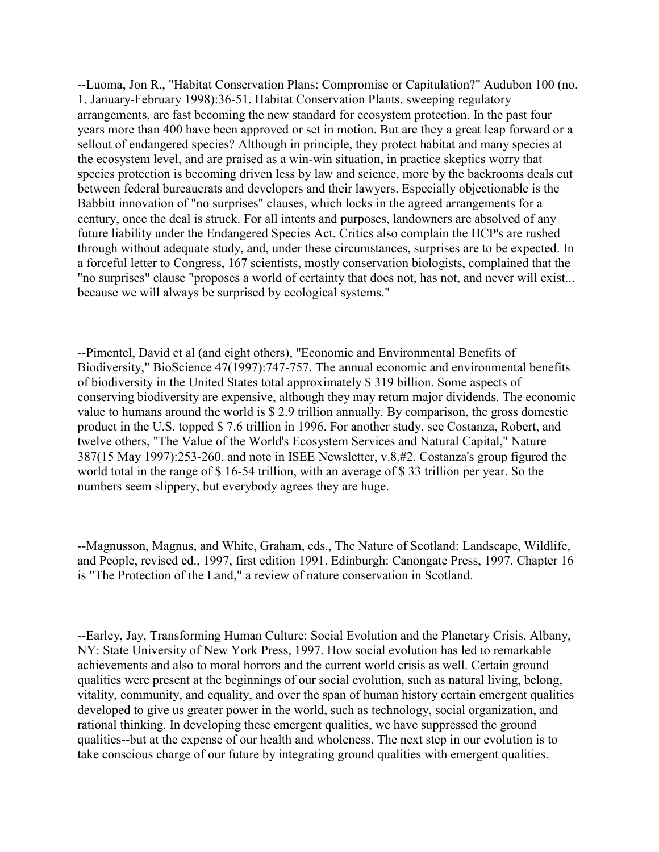--Luoma, Jon R., "Habitat Conservation Plans: Compromise or Capitulation?" Audubon 100 (no. 1, January-February 1998):36-51. Habitat Conservation Plants, sweeping regulatory arrangements, are fast becoming the new standard for ecosystem protection. In the past four years more than 400 have been approved or set in motion. But are they a great leap forward or a sellout of endangered species? Although in principle, they protect habitat and many species at the ecosystem level, and are praised as a win-win situation, in practice skeptics worry that species protection is becoming driven less by law and science, more by the backrooms deals cut between federal bureaucrats and developers and their lawyers. Especially objectionable is the Babbitt innovation of "no surprises" clauses, which locks in the agreed arrangements for a century, once the deal is struck. For all intents and purposes, landowners are absolved of any future liability under the Endangered Species Act. Critics also complain the HCP's are rushed through without adequate study, and, under these circumstances, surprises are to be expected. In a forceful letter to Congress, 167 scientists, mostly conservation biologists, complained that the "no surprises" clause "proposes a world of certainty that does not, has not, and never will exist... because we will always be surprised by ecological systems."

--Pimentel, David et al (and eight others), "Economic and Environmental Benefits of Biodiversity," BioScience 47(1997):747-757. The annual economic and environmental benefits of biodiversity in the United States total approximately \$ 319 billion. Some aspects of conserving biodiversity are expensive, although they may return major dividends. The economic value to humans around the world is \$ 2.9 trillion annually. By comparison, the gross domestic product in the U.S. topped \$ 7.6 trillion in 1996. For another study, see Costanza, Robert, and twelve others, "The Value of the World's Ecosystem Services and Natural Capital," Nature 387(15 May 1997):253-260, and note in ISEE Newsletter, v.8,#2. Costanza's group figured the world total in the range of \$ 16-54 trillion, with an average of \$ 33 trillion per year. So the numbers seem slippery, but everybody agrees they are huge.

--Magnusson, Magnus, and White, Graham, eds., The Nature of Scotland: Landscape, Wildlife, and People, revised ed., 1997, first edition 1991. Edinburgh: Canongate Press, 1997. Chapter 16 is "The Protection of the Land," a review of nature conservation in Scotland.

--Earley, Jay, Transforming Human Culture: Social Evolution and the Planetary Crisis. Albany, NY: State University of New York Press, 1997. How social evolution has led to remarkable achievements and also to moral horrors and the current world crisis as well. Certain ground qualities were present at the beginnings of our social evolution, such as natural living, belong, vitality, community, and equality, and over the span of human history certain emergent qualities developed to give us greater power in the world, such as technology, social organization, and rational thinking. In developing these emergent qualities, we have suppressed the ground qualities--but at the expense of our health and wholeness. The next step in our evolution is to take conscious charge of our future by integrating ground qualities with emergent qualities.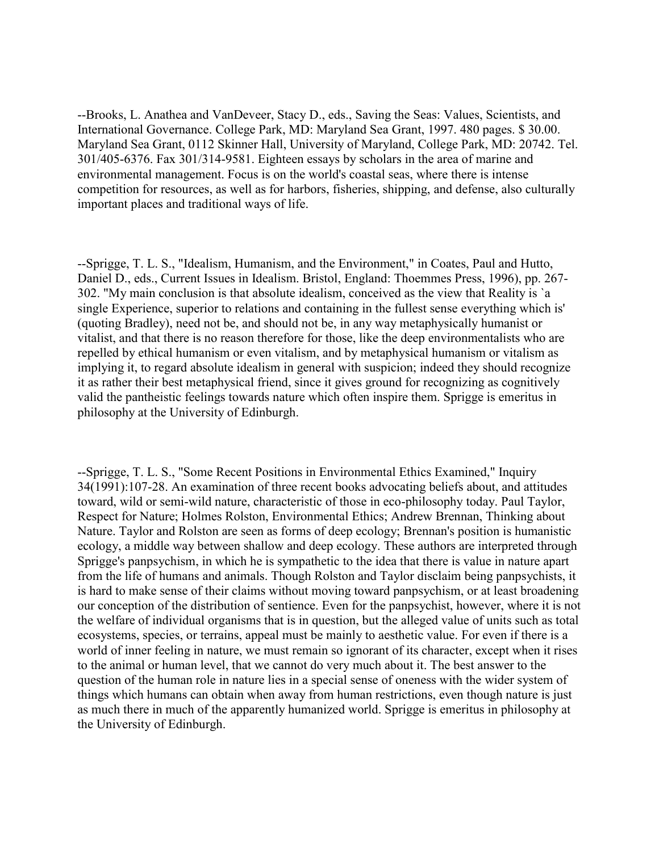--Brooks, L. Anathea and VanDeveer, Stacy D., eds., Saving the Seas: Values, Scientists, and International Governance. College Park, MD: Maryland Sea Grant, 1997. 480 pages. \$ 30.00. Maryland Sea Grant, 0112 Skinner Hall, University of Maryland, College Park, MD: 20742. Tel. 301/405-6376. Fax 301/314-9581. Eighteen essays by scholars in the area of marine and environmental management. Focus is on the world's coastal seas, where there is intense competition for resources, as well as for harbors, fisheries, shipping, and defense, also culturally important places and traditional ways of life.

--Sprigge, T. L. S., "Idealism, Humanism, and the Environment," in Coates, Paul and Hutto, Daniel D., eds., Current Issues in Idealism. Bristol, England: Thoemmes Press, 1996), pp. 267- 302. "My main conclusion is that absolute idealism, conceived as the view that Reality is `a single Experience, superior to relations and containing in the fullest sense everything which is' (quoting Bradley), need not be, and should not be, in any way metaphysically humanist or vitalist, and that there is no reason therefore for those, like the deep environmentalists who are repelled by ethical humanism or even vitalism, and by metaphysical humanism or vitalism as implying it, to regard absolute idealism in general with suspicion; indeed they should recognize it as rather their best metaphysical friend, since it gives ground for recognizing as cognitively valid the pantheistic feelings towards nature which often inspire them. Sprigge is emeritus in philosophy at the University of Edinburgh.

--Sprigge, T. L. S., "Some Recent Positions in Environmental Ethics Examined," Inquiry 34(1991):107-28. An examination of three recent books advocating beliefs about, and attitudes toward, wild or semi-wild nature, characteristic of those in eco-philosophy today. Paul Taylor, Respect for Nature; Holmes Rolston, Environmental Ethics; Andrew Brennan, Thinking about Nature. Taylor and Rolston are seen as forms of deep ecology; Brennan's position is humanistic ecology, a middle way between shallow and deep ecology. These authors are interpreted through Sprigge's panpsychism, in which he is sympathetic to the idea that there is value in nature apart from the life of humans and animals. Though Rolston and Taylor disclaim being panpsychists, it is hard to make sense of their claims without moving toward panpsychism, or at least broadening our conception of the distribution of sentience. Even for the panpsychist, however, where it is not the welfare of individual organisms that is in question, but the alleged value of units such as total ecosystems, species, or terrains, appeal must be mainly to aesthetic value. For even if there is a world of inner feeling in nature, we must remain so ignorant of its character, except when it rises to the animal or human level, that we cannot do very much about it. The best answer to the question of the human role in nature lies in a special sense of oneness with the wider system of things which humans can obtain when away from human restrictions, even though nature is just as much there in much of the apparently humanized world. Sprigge is emeritus in philosophy at the University of Edinburgh.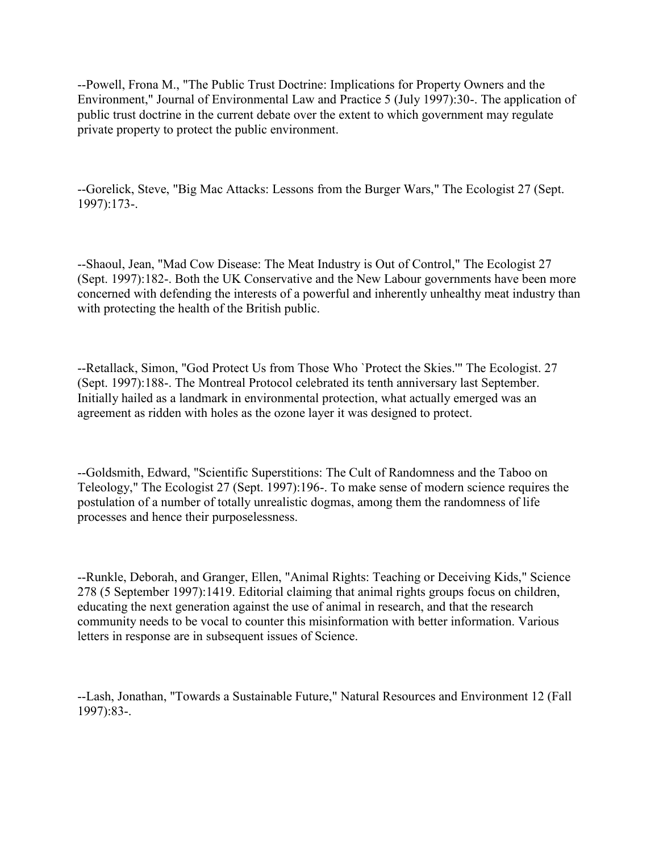--Powell, Frona M., "The Public Trust Doctrine: Implications for Property Owners and the Environment," Journal of Environmental Law and Practice 5 (July 1997):30-. The application of public trust doctrine in the current debate over the extent to which government may regulate private property to protect the public environment.

--Gorelick, Steve, "Big Mac Attacks: Lessons from the Burger Wars," The Ecologist 27 (Sept. 1997):173-.

--Shaoul, Jean, "Mad Cow Disease: The Meat Industry is Out of Control," The Ecologist 27 (Sept. 1997):182-. Both the UK Conservative and the New Labour governments have been more concerned with defending the interests of a powerful and inherently unhealthy meat industry than with protecting the health of the British public.

--Retallack, Simon, "God Protect Us from Those Who `Protect the Skies.'" The Ecologist. 27 (Sept. 1997):188-. The Montreal Protocol celebrated its tenth anniversary last September. Initially hailed as a landmark in environmental protection, what actually emerged was an agreement as ridden with holes as the ozone layer it was designed to protect.

--Goldsmith, Edward, "Scientific Superstitions: The Cult of Randomness and the Taboo on Teleology," The Ecologist 27 (Sept. 1997):196-. To make sense of modern science requires the postulation of a number of totally unrealistic dogmas, among them the randomness of life processes and hence their purposelessness.

--Runkle, Deborah, and Granger, Ellen, "Animal Rights: Teaching or Deceiving Kids," Science 278 (5 September 1997):1419. Editorial claiming that animal rights groups focus on children, educating the next generation against the use of animal in research, and that the research community needs to be vocal to counter this misinformation with better information. Various letters in response are in subsequent issues of Science.

--Lash, Jonathan, "Towards a Sustainable Future," Natural Resources and Environment 12 (Fall 1997):83-.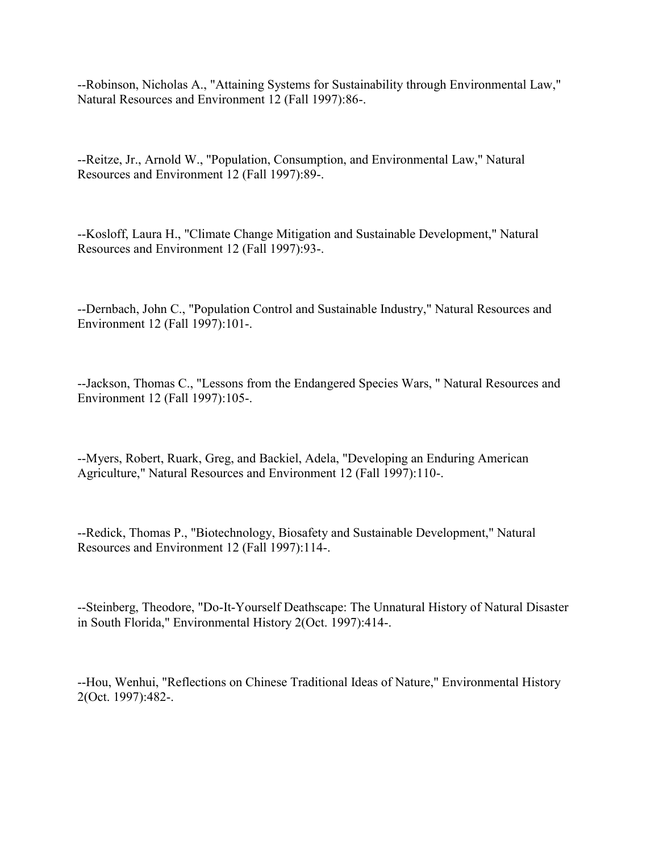--Robinson, Nicholas A., "Attaining Systems for Sustainability through Environmental Law," Natural Resources and Environment 12 (Fall 1997):86-.

--Reitze, Jr., Arnold W., "Population, Consumption, and Environmental Law," Natural Resources and Environment 12 (Fall 1997):89-.

--Kosloff, Laura H., "Climate Change Mitigation and Sustainable Development," Natural Resources and Environment 12 (Fall 1997):93-.

--Dernbach, John C., "Population Control and Sustainable Industry," Natural Resources and Environment 12 (Fall 1997):101-.

--Jackson, Thomas C., "Lessons from the Endangered Species Wars, " Natural Resources and Environment 12 (Fall 1997):105-.

--Myers, Robert, Ruark, Greg, and Backiel, Adela, "Developing an Enduring American Agriculture," Natural Resources and Environment 12 (Fall 1997):110-.

--Redick, Thomas P., "Biotechnology, Biosafety and Sustainable Development," Natural Resources and Environment 12 (Fall 1997):114-.

--Steinberg, Theodore, "Do-It-Yourself Deathscape: The Unnatural History of Natural Disaster in South Florida," Environmental History 2(Oct. 1997):414-.

--Hou, Wenhui, "Reflections on Chinese Traditional Ideas of Nature," Environmental History 2(Oct. 1997):482-.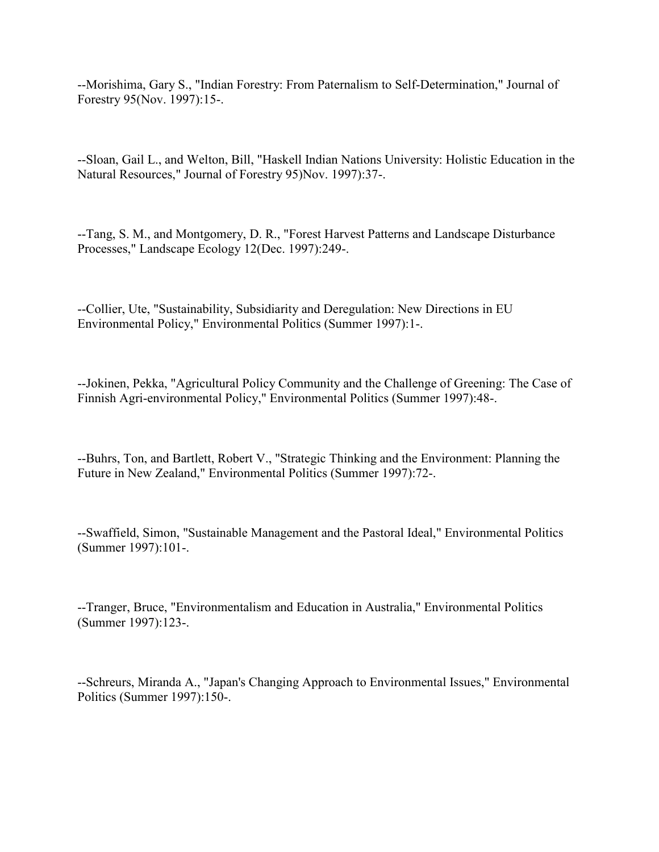--Morishima, Gary S., "Indian Forestry: From Paternalism to Self-Determination," Journal of Forestry 95(Nov. 1997):15-.

--Sloan, Gail L., and Welton, Bill, "Haskell Indian Nations University: Holistic Education in the Natural Resources," Journal of Forestry 95)Nov. 1997):37-.

--Tang, S. M., and Montgomery, D. R., "Forest Harvest Patterns and Landscape Disturbance Processes," Landscape Ecology 12(Dec. 1997):249-.

--Collier, Ute, "Sustainability, Subsidiarity and Deregulation: New Directions in EU Environmental Policy," Environmental Politics (Summer 1997):1-.

--Jokinen, Pekka, "Agricultural Policy Community and the Challenge of Greening: The Case of Finnish Agri-environmental Policy," Environmental Politics (Summer 1997):48-.

--Buhrs, Ton, and Bartlett, Robert V., "Strategic Thinking and the Environment: Planning the Future in New Zealand," Environmental Politics (Summer 1997):72-.

--Swaffield, Simon, "Sustainable Management and the Pastoral Ideal," Environmental Politics (Summer 1997):101-.

--Tranger, Bruce, "Environmentalism and Education in Australia," Environmental Politics (Summer 1997):123-.

--Schreurs, Miranda A., "Japan's Changing Approach to Environmental Issues," Environmental Politics (Summer 1997):150-.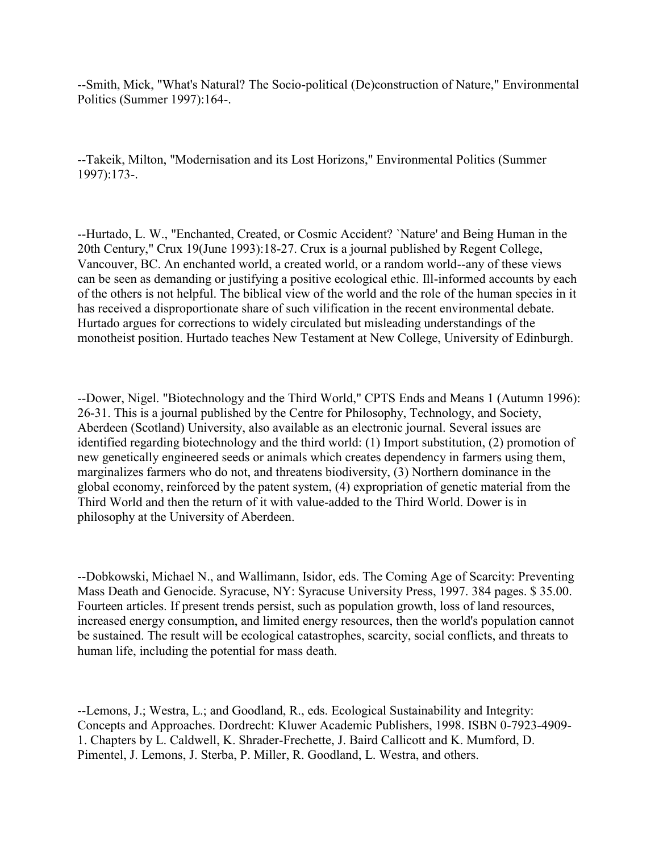--Smith, Mick, "What's Natural? The Socio-political (De)construction of Nature," Environmental Politics (Summer 1997):164-.

--Takeik, Milton, "Modernisation and its Lost Horizons," Environmental Politics (Summer 1997):173-.

--Hurtado, L. W., "Enchanted, Created, or Cosmic Accident? `Nature' and Being Human in the 20th Century," Crux 19(June 1993):18-27. Crux is a journal published by Regent College, Vancouver, BC. An enchanted world, a created world, or a random world--any of these views can be seen as demanding or justifying a positive ecological ethic. Ill-informed accounts by each of the others is not helpful. The biblical view of the world and the role of the human species in it has received a disproportionate share of such vilification in the recent environmental debate. Hurtado argues for corrections to widely circulated but misleading understandings of the monotheist position. Hurtado teaches New Testament at New College, University of Edinburgh.

--Dower, Nigel. "Biotechnology and the Third World," CPTS Ends and Means 1 (Autumn 1996): 26-31. This is a journal published by the Centre for Philosophy, Technology, and Society, Aberdeen (Scotland) University, also available as an electronic journal. Several issues are identified regarding biotechnology and the third world: (1) Import substitution, (2) promotion of new genetically engineered seeds or animals which creates dependency in farmers using them, marginalizes farmers who do not, and threatens biodiversity, (3) Northern dominance in the global economy, reinforced by the patent system, (4) expropriation of genetic material from the Third World and then the return of it with value-added to the Third World. Dower is in philosophy at the University of Aberdeen.

--Dobkowski, Michael N., and Wallimann, Isidor, eds. The Coming Age of Scarcity: Preventing Mass Death and Genocide. Syracuse, NY: Syracuse University Press, 1997. 384 pages. \$ 35.00. Fourteen articles. If present trends persist, such as population growth, loss of land resources, increased energy consumption, and limited energy resources, then the world's population cannot be sustained. The result will be ecological catastrophes, scarcity, social conflicts, and threats to human life, including the potential for mass death.

--Lemons, J.; Westra, L.; and Goodland, R., eds. Ecological Sustainability and Integrity: Concepts and Approaches. Dordrecht: Kluwer Academic Publishers, 1998. ISBN 0-7923-4909- 1. Chapters by L. Caldwell, K. Shrader-Frechette, J. Baird Callicott and K. Mumford, D. Pimentel, J. Lemons, J. Sterba, P. Miller, R. Goodland, L. Westra, and others.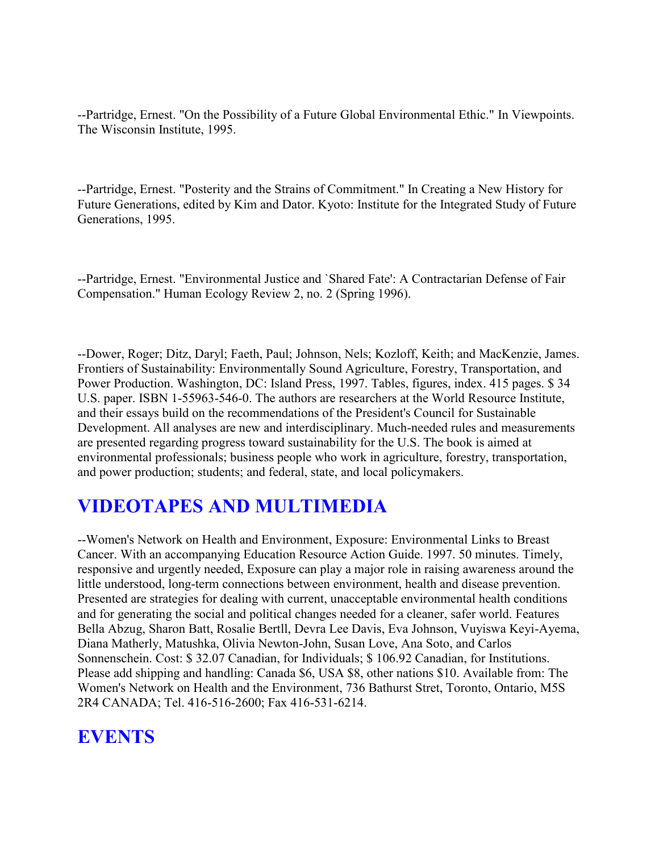--Partridge, Ernest. "On the Possibility of a Future Global Environmental Ethic." In Viewpoints. The Wisconsin Institute, 1995.

--Partridge, Ernest. "Posterity and the Strains of Commitment." In Creating a New History for Future Generations, edited by Kim and Dator. Kyoto: Institute for the Integrated Study of Future Generations, 1995.

--Partridge, Ernest. "Environmental Justice and `Shared Fate': A Contractarian Defense of Fair Compensation." Human Ecology Review 2, no. 2 (Spring 1996).

--Dower, Roger; Ditz, Daryl; Faeth, Paul; Johnson, Nels; Kozloff, Keith; and MacKenzie, James. Frontiers of Sustainability: Environmentally Sound Agriculture, Forestry, Transportation, and Power Production. Washington, DC: Island Press, 1997. Tables, figures, index. 415 pages. \$ 34 U.S. paper. ISBN 1-55963-546-0. The authors are researchers at the World Resource Institute, and their essays build on the recommendations of the President's Council for Sustainable Development. All analyses are new and interdisciplinary. Much-needed rules and measurements are presented regarding progress toward sustainability for the U.S. The book is aimed at environmental professionals; business people who work in agriculture, forestry, transportation, and power production; students; and federal, state, and local policymakers.

### **VIDEOTAPES AND MULTIMEDIA**

--Women's Network on Health and Environment, Exposure: Environmental Links to Breast Cancer. With an accompanying Education Resource Action Guide. 1997. 50 minutes. Timely, responsive and urgently needed, Exposure can play a major role in raising awareness around the little understood, long-term connections between environment, health and disease prevention. Presented are strategies for dealing with current, unacceptable environmental health conditions and for generating the social and political changes needed for a cleaner, safer world. Features Bella Abzug, Sharon Batt, Rosalie Bertll, Devra Lee Davis, Eva Johnson, Vuyiswa Keyi-Ayema, Diana Matherly, Matushka, Olivia Newton-John, Susan Love, Ana Soto, and Carlos Sonnenschein. Cost: \$ 32.07 Canadian, for Individuals; \$ 106.92 Canadian, for Institutions. Please add shipping and handling: Canada \$6, USA \$8, other nations \$10. Available from: The Women's Network on Health and the Environment, 736 Bathurst Stret, Toronto, Ontario, M5S 2R4 CANADA; Tel. 416-516-2600; Fax 416-531-6214.

## **EVENTS**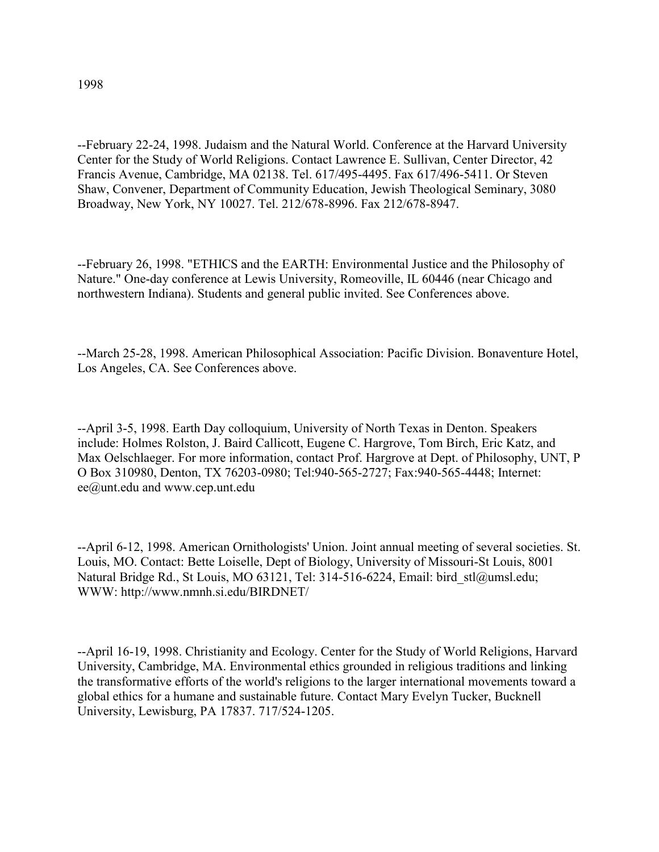--February 22-24, 1998. Judaism and the Natural World. Conference at the Harvard University Center for the Study of World Religions. Contact Lawrence E. Sullivan, Center Director, 42 Francis Avenue, Cambridge, MA 02138. Tel. 617/495-4495. Fax 617/496-5411. Or Steven Shaw, Convener, Department of Community Education, Jewish Theological Seminary, 3080 Broadway, New York, NY 10027. Tel. 212/678-8996. Fax 212/678-8947.

--February 26, 1998. "ETHICS and the EARTH: Environmental Justice and the Philosophy of Nature." One-day conference at Lewis University, Romeoville, IL 60446 (near Chicago and northwestern Indiana). Students and general public invited. See Conferences above.

--March 25-28, 1998. American Philosophical Association: Pacific Division. Bonaventure Hotel, Los Angeles, CA. See Conferences above.

--April 3-5, 1998. Earth Day colloquium, University of North Texas in Denton. Speakers include: Holmes Rolston, J. Baird Callicott, Eugene C. Hargrove, Tom Birch, Eric Katz, and Max Oelschlaeger. For more information, contact Prof. Hargrove at Dept. of Philosophy, UNT, P O Box 310980, Denton, TX 76203-0980; Tel:940-565-2727; Fax:940-565-4448; Internet: ee@unt.edu and www.cep.unt.edu

--April 6-12, 1998. American Ornithologists' Union. Joint annual meeting of several societies. St. Louis, MO. Contact: Bette Loiselle, Dept of Biology, University of Missouri-St Louis, 8001 Natural Bridge Rd., St Louis, MO 63121, Tel: 314-516-6224, Email: bird\_stl@umsl.edu; WWW: http://www.nmnh.si.edu/BIRDNET/

--April 16-19, 1998. Christianity and Ecology. Center for the Study of World Religions, Harvard University, Cambridge, MA. Environmental ethics grounded in religious traditions and linking the transformative efforts of the world's religions to the larger international movements toward a global ethics for a humane and sustainable future. Contact Mary Evelyn Tucker, Bucknell University, Lewisburg, PA 17837. 717/524-1205.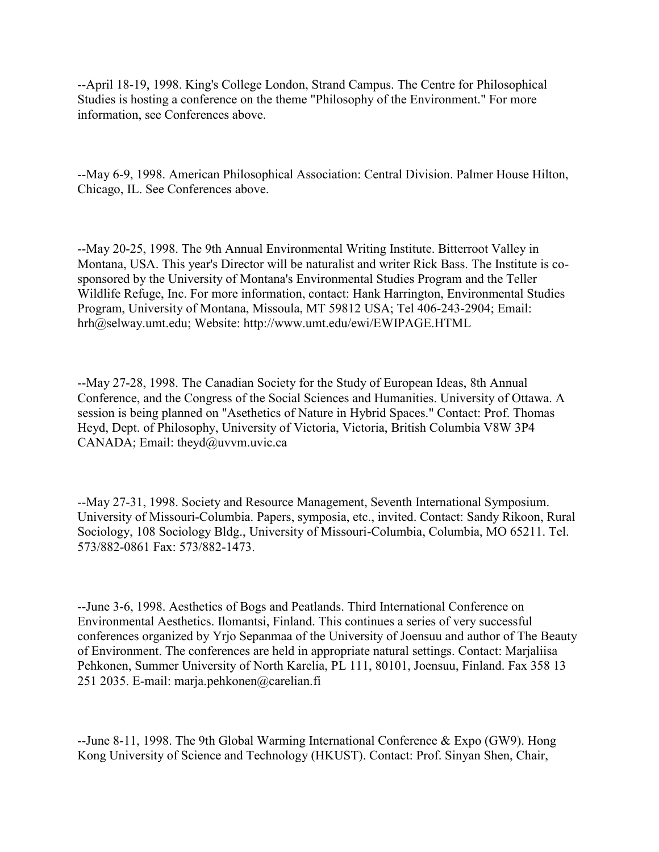--April 18-19, 1998. King's College London, Strand Campus. The Centre for Philosophical Studies is hosting a conference on the theme "Philosophy of the Environment." For more information, see Conferences above.

--May 6-9, 1998. American Philosophical Association: Central Division. Palmer House Hilton, Chicago, IL. See Conferences above.

--May 20-25, 1998. The 9th Annual Environmental Writing Institute. Bitterroot Valley in Montana, USA. This year's Director will be naturalist and writer Rick Bass. The Institute is cosponsored by the University of Montana's Environmental Studies Program and the Teller Wildlife Refuge, Inc. For more information, contact: Hank Harrington, Environmental Studies Program, University of Montana, Missoula, MT 59812 USA; Tel 406-243-2904; Email: hrh@selway.umt.edu; Website: http://www.umt.edu/ewi/EWIPAGE.HTML

--May 27-28, 1998. The Canadian Society for the Study of European Ideas, 8th Annual Conference, and the Congress of the Social Sciences and Humanities. University of Ottawa. A session is being planned on "Asethetics of Nature in Hybrid Spaces." Contact: Prof. Thomas Heyd, Dept. of Philosophy, University of Victoria, Victoria, British Columbia V8W 3P4 CANADA; Email: theyd@uvvm.uvic.ca

--May 27-31, 1998. Society and Resource Management, Seventh International Symposium. University of Missouri-Columbia. Papers, symposia, etc., invited. Contact: Sandy Rikoon, Rural Sociology, 108 Sociology Bldg., University of Missouri-Columbia, Columbia, MO 65211. Tel. 573/882-0861 Fax: 573/882-1473.

--June 3-6, 1998. Aesthetics of Bogs and Peatlands. Third International Conference on Environmental Aesthetics. Ilomantsi, Finland. This continues a series of very successful conferences organized by Yrjo Sepanmaa of the University of Joensuu and author of The Beauty of Environment. The conferences are held in appropriate natural settings. Contact: Marjaliisa Pehkonen, Summer University of North Karelia, PL 111, 80101, Joensuu, Finland. Fax 358 13 251 2035. E-mail: marja.pehkonen@carelian.fi

--June 8-11, 1998. The 9th Global Warming International Conference & Expo (GW9). Hong Kong University of Science and Technology (HKUST). Contact: Prof. Sinyan Shen, Chair,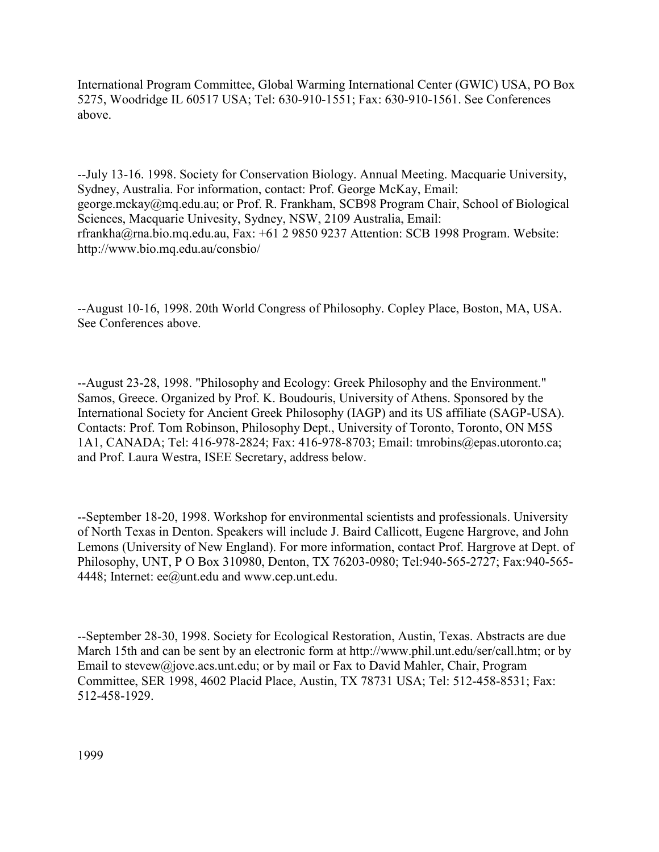International Program Committee, Global Warming International Center (GWIC) USA, PO Box 5275, Woodridge IL 60517 USA; Tel: 630-910-1551; Fax: 630-910-1561. See Conferences above.

--July 13-16. 1998. Society for Conservation Biology. Annual Meeting. Macquarie University, Sydney, Australia. For information, contact: Prof. George McKay, Email: george.mckay@mq.edu.au; or Prof. R. Frankham, SCB98 Program Chair, School of Biological Sciences, Macquarie Univesity, Sydney, NSW, 2109 Australia, Email: rfrankha@rna.bio.mq.edu.au, Fax: +61 2 9850 9237 Attention: SCB 1998 Program. Website: http://www.bio.mq.edu.au/consbio/

--August 10-16, 1998. 20th World Congress of Philosophy. Copley Place, Boston, MA, USA. See Conferences above.

--August 23-28, 1998. "Philosophy and Ecology: Greek Philosophy and the Environment." Samos, Greece. Organized by Prof. K. Boudouris, University of Athens. Sponsored by the International Society for Ancient Greek Philosophy (IAGP) and its US affiliate (SAGP-USA). Contacts: Prof. Tom Robinson, Philosophy Dept., University of Toronto, Toronto, ON M5S 1A1, CANADA; Tel: 416-978-2824; Fax: 416-978-8703; Email: tmrobins@epas.utoronto.ca; and Prof. Laura Westra, ISEE Secretary, address below.

--September 18-20, 1998. Workshop for environmental scientists and professionals. University of North Texas in Denton. Speakers will include J. Baird Callicott, Eugene Hargrove, and John Lemons (University of New England). For more information, contact Prof. Hargrove at Dept. of Philosophy, UNT, P O Box 310980, Denton, TX 76203-0980; Tel:940-565-2727; Fax:940-565- 4448; Internet: ee@unt.edu and www.cep.unt.edu.

--September 28-30, 1998. Society for Ecological Restoration, Austin, Texas. Abstracts are due March 15th and can be sent by an electronic form at http://www.phil.unt.edu/ser/call.htm; or by Email to stevew@jove.acs.unt.edu; or by mail or Fax to David Mahler, Chair, Program Committee, SER 1998, 4602 Placid Place, Austin, TX 78731 USA; Tel: 512-458-8531; Fax: 512-458-1929.

1999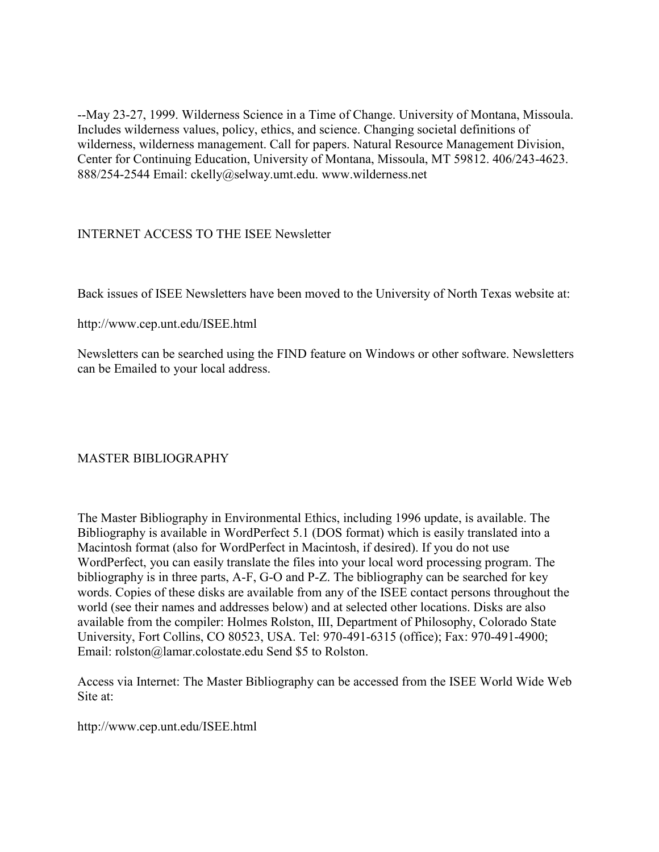--May 23-27, 1999. Wilderness Science in a Time of Change. University of Montana, Missoula. Includes wilderness values, policy, ethics, and science. Changing societal definitions of wilderness, wilderness management. Call for papers. Natural Resource Management Division, Center for Continuing Education, University of Montana, Missoula, MT 59812. 406/243-4623. 888/254-2544 Email: ckelly@selway.umt.edu. www.wilderness.net

INTERNET ACCESS TO THE ISEE Newsletter

Back issues of ISEE Newsletters have been moved to the University of North Texas website at:

http://www.cep.unt.edu/ISEE.html

Newsletters can be searched using the FIND feature on Windows or other software. Newsletters can be Emailed to your local address.

#### MASTER BIBLIOGRAPHY

The Master Bibliography in Environmental Ethics, including 1996 update, is available. The Bibliography is available in WordPerfect 5.1 (DOS format) which is easily translated into a Macintosh format (also for WordPerfect in Macintosh, if desired). If you do not use WordPerfect, you can easily translate the files into your local word processing program. The bibliography is in three parts, A-F, G-O and P-Z. The bibliography can be searched for key words. Copies of these disks are available from any of the ISEE contact persons throughout the world (see their names and addresses below) and at selected other locations. Disks are also available from the compiler: Holmes Rolston, III, Department of Philosophy, Colorado State University, Fort Collins, CO 80523, USA. Tel: 970-491-6315 (office); Fax: 970-491-4900; Email: rolston@lamar.colostate.edu Send \$5 to Rolston.

Access via Internet: The Master Bibliography can be accessed from the ISEE World Wide Web Site at:

http://www.cep.unt.edu/ISEE.html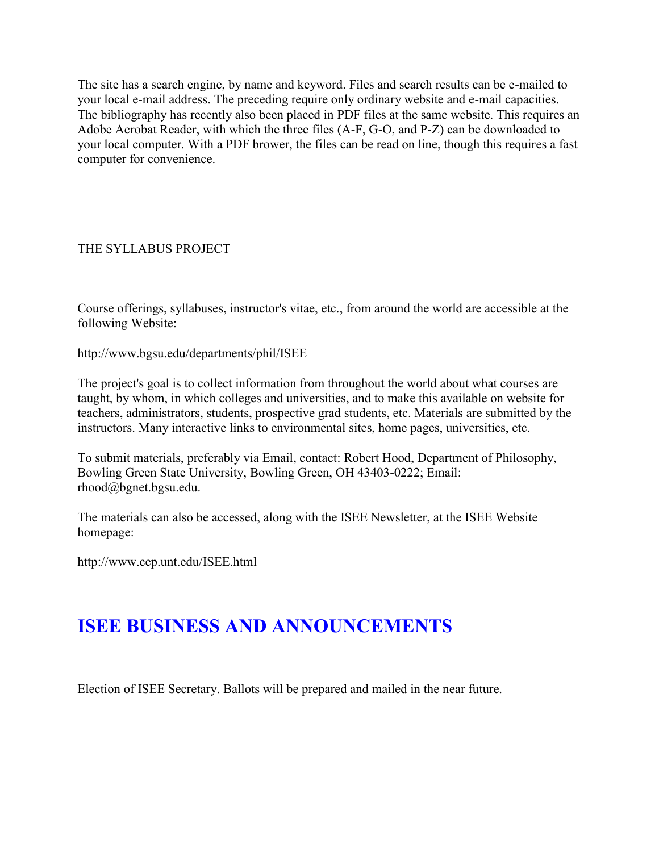The site has a search engine, by name and keyword. Files and search results can be e-mailed to your local e-mail address. The preceding require only ordinary website and e-mail capacities. The bibliography has recently also been placed in PDF files at the same website. This requires an Adobe Acrobat Reader, with which the three files (A-F, G-O, and P-Z) can be downloaded to your local computer. With a PDF brower, the files can be read on line, though this requires a fast computer for convenience.

#### THE SYLLABUS PROJECT

Course offerings, syllabuses, instructor's vitae, etc., from around the world are accessible at the following Website:

http://www.bgsu.edu/departments/phil/ISEE

The project's goal is to collect information from throughout the world about what courses are taught, by whom, in which colleges and universities, and to make this available on website for teachers, administrators, students, prospective grad students, etc. Materials are submitted by the instructors. Many interactive links to environmental sites, home pages, universities, etc.

To submit materials, preferably via Email, contact: Robert Hood, Department of Philosophy, Bowling Green State University, Bowling Green, OH 43403-0222; Email: rhood@bgnet.bgsu.edu.

The materials can also be accessed, along with the ISEE Newsletter, at the ISEE Website homepage:

http://www.cep.unt.edu/ISEE.html

## **ISEE BUSINESS AND ANNOUNCEMENTS**

Election of ISEE Secretary. Ballots will be prepared and mailed in the near future.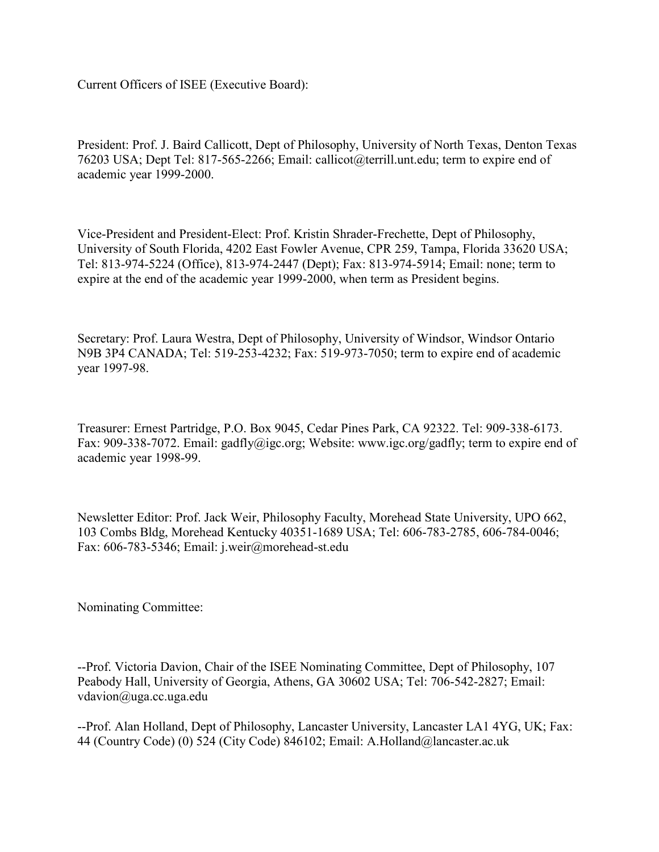Current Officers of ISEE (Executive Board):

President: Prof. J. Baird Callicott, Dept of Philosophy, University of North Texas, Denton Texas 76203 USA; Dept Tel: 817-565-2266; Email: callicot@terrill.unt.edu; term to expire end of academic year 1999-2000.

Vice-President and President-Elect: Prof. Kristin Shrader-Frechette, Dept of Philosophy, University of South Florida, 4202 East Fowler Avenue, CPR 259, Tampa, Florida 33620 USA; Tel: 813-974-5224 (Office), 813-974-2447 (Dept); Fax: 813-974-5914; Email: none; term to expire at the end of the academic year 1999-2000, when term as President begins.

Secretary: Prof. Laura Westra, Dept of Philosophy, University of Windsor, Windsor Ontario N9B 3P4 CANADA; Tel: 519-253-4232; Fax: 519-973-7050; term to expire end of academic year 1997-98.

Treasurer: Ernest Partridge, P.O. Box 9045, Cedar Pines Park, CA 92322. Tel: 909-338-6173. Fax: 909-338-7072. Email: gadfly@igc.org; Website: www.igc.org/gadfly; term to expire end of academic year 1998-99.

Newsletter Editor: Prof. Jack Weir, Philosophy Faculty, Morehead State University, UPO 662, 103 Combs Bldg, Morehead Kentucky 40351-1689 USA; Tel: 606-783-2785, 606-784-0046; Fax: 606-783-5346; Email: j.weir@morehead-st.edu

Nominating Committee:

--Prof. Victoria Davion, Chair of the ISEE Nominating Committee, Dept of Philosophy, 107 Peabody Hall, University of Georgia, Athens, GA 30602 USA; Tel: 706-542-2827; Email: vdavion@uga.cc.uga.edu

--Prof. Alan Holland, Dept of Philosophy, Lancaster University, Lancaster LA1 4YG, UK; Fax: 44 (Country Code) (0) 524 (City Code) 846102; Email: A.Holland@lancaster.ac.uk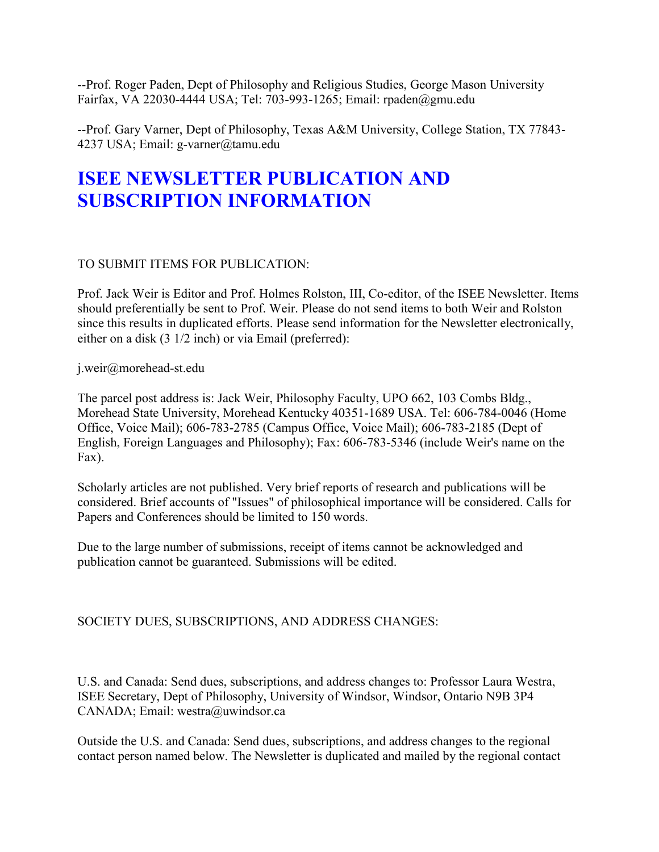--Prof. Roger Paden, Dept of Philosophy and Religious Studies, George Mason University Fairfax, VA 22030-4444 USA; Tel: 703-993-1265; Email: rpaden@gmu.edu

--Prof. Gary Varner, Dept of Philosophy, Texas A&M University, College Station, TX 77843- 4237 USA; Email: g-varner@tamu.edu

# **ISEE NEWSLETTER PUBLICATION AND SUBSCRIPTION INFORMATION**

### TO SUBMIT ITEMS FOR PUBLICATION:

Prof. Jack Weir is Editor and Prof. Holmes Rolston, III, Co-editor, of the ISEE Newsletter. Items should preferentially be sent to Prof. Weir. Please do not send items to both Weir and Rolston since this results in duplicated efforts. Please send information for the Newsletter electronically, either on a disk (3 1/2 inch) or via Email (preferred):

j.weir@morehead-st.edu

The parcel post address is: Jack Weir, Philosophy Faculty, UPO 662, 103 Combs Bldg., Morehead State University, Morehead Kentucky 40351-1689 USA. Tel: 606-784-0046 (Home Office, Voice Mail); 606-783-2785 (Campus Office, Voice Mail); 606-783-2185 (Dept of English, Foreign Languages and Philosophy); Fax: 606-783-5346 (include Weir's name on the Fax).

Scholarly articles are not published. Very brief reports of research and publications will be considered. Brief accounts of "Issues" of philosophical importance will be considered. Calls for Papers and Conferences should be limited to 150 words.

Due to the large number of submissions, receipt of items cannot be acknowledged and publication cannot be guaranteed. Submissions will be edited.

### SOCIETY DUES, SUBSCRIPTIONS, AND ADDRESS CHANGES:

U.S. and Canada: Send dues, subscriptions, and address changes to: Professor Laura Westra, ISEE Secretary, Dept of Philosophy, University of Windsor, Windsor, Ontario N9B 3P4 CANADA; Email: westra@uwindsor.ca

Outside the U.S. and Canada: Send dues, subscriptions, and address changes to the regional contact person named below. The Newsletter is duplicated and mailed by the regional contact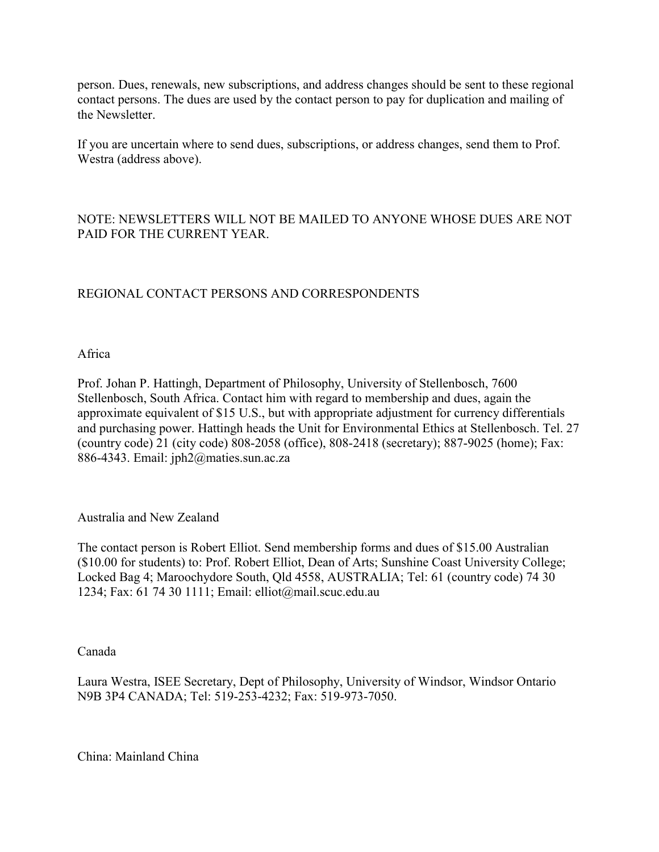person. Dues, renewals, new subscriptions, and address changes should be sent to these regional contact persons. The dues are used by the contact person to pay for duplication and mailing of the Newsletter.

If you are uncertain where to send dues, subscriptions, or address changes, send them to Prof. Westra (address above).

#### NOTE: NEWSLETTERS WILL NOT BE MAILED TO ANYONE WHOSE DUES ARE NOT PAID FOR THE CURRENT YEAR.

### REGIONAL CONTACT PERSONS AND CORRESPONDENTS

Africa

Prof. Johan P. Hattingh, Department of Philosophy, University of Stellenbosch, 7600 Stellenbosch, South Africa. Contact him with regard to membership and dues, again the approximate equivalent of \$15 U.S., but with appropriate adjustment for currency differentials and purchasing power. Hattingh heads the Unit for Environmental Ethics at Stellenbosch. Tel. 27 (country code) 21 (city code) 808-2058 (office), 808-2418 (secretary); 887-9025 (home); Fax: 886-4343. Email: jph2@maties.sun.ac.za

Australia and New Zealand

The contact person is Robert Elliot. Send membership forms and dues of \$15.00 Australian (\$10.00 for students) to: Prof. Robert Elliot, Dean of Arts; Sunshine Coast University College; Locked Bag 4; Maroochydore South, Qld 4558, AUSTRALIA; Tel: 61 (country code) 74 30 1234; Fax: 61 74 30 1111; Email: elliot@mail.scuc.edu.au

Canada

Laura Westra, ISEE Secretary, Dept of Philosophy, University of Windsor, Windsor Ontario N9B 3P4 CANADA; Tel: 519-253-4232; Fax: 519-973-7050.

China: Mainland China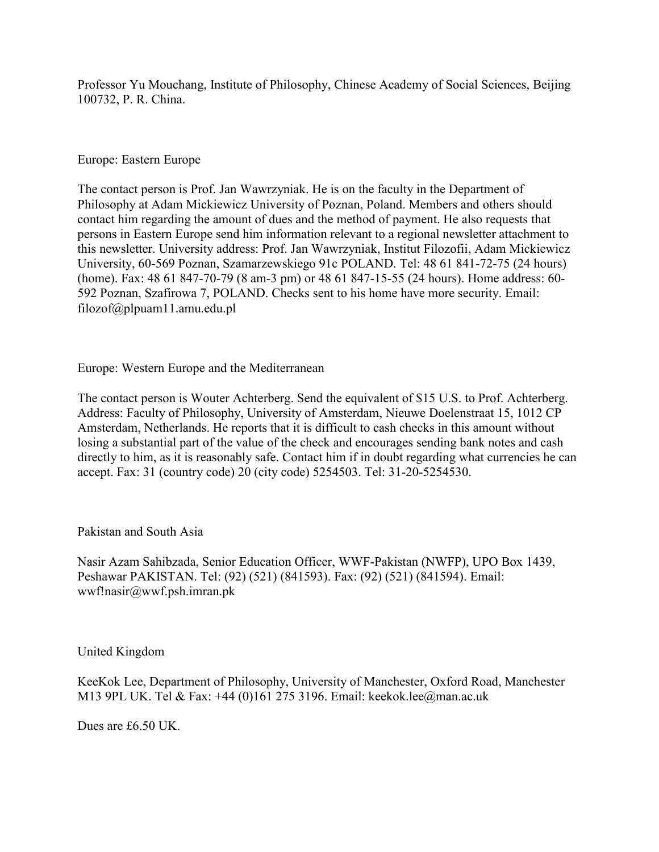Professor Yu Mouchang, Institute of Philosophy, Chinese Academy of Social Sciences, Beijing 100732, P. R. China.

#### Europe: Eastern Europe

The contact person is Prof. Jan Wawrzyniak. He is on the faculty in the Department of Philosophy at Adam Mickiewicz University of Poznan, Poland. Members and others should contact him regarding the amount of dues and the method of payment. He also requests that persons in Eastern Europe send him information relevant to a regional newsletter attachment to this newsletter. University address: Prof. Jan Wawrzyniak, Institut Filozofii, Adam Mickiewicz University, 60-569 Poznan, Szamarzewskiego 91c POLAND. Tel: 48 61 841-72-75 (24 hours) (home). Fax: 48 61 847-70-79 (8 am-3 pm) or 48 61 847-15-55 (24 hours). Home address: 60- 592 Poznan, Szafirowa 7, POLAND. Checks sent to his home have more security. Email: filozof@plpuam11.amu.edu.pl

Europe: Western Europe and the Mediterranean

The contact person is Wouter Achterberg. Send the equivalent of \$15 U.S. to Prof. Achterberg. Address: Faculty of Philosophy, University of Amsterdam, Nieuwe Doelenstraat 15, 1012 CP Amsterdam, Netherlands. He reports that it is difficult to cash checks in this amount without losing a substantial part of the value of the check and encourages sending bank notes and cash directly to him, as it is reasonably safe. Contact him if in doubt regarding what currencies he can accept. Fax: 31 (country code) 20 (city code) 5254503. Tel: 31-20-5254530.

Pakistan and South Asia

Nasir Azam Sahibzada, Senior Education Officer, WWF-Pakistan (NWFP), UPO Box 1439, Peshawar PAKISTAN. Tel: (92) (521) (841593). Fax: (92) (521) (841594). Email: wwf!nasir@wwf.psh.imran.pk

United Kingdom

KeeKok Lee, Department of Philosophy, University of Manchester, Oxford Road, Manchester M13 9PL UK. Tel & Fax: +44 (0)161 275 3196. Email: keekok.lee@man.ac.uk

Dues are £6.50 UK.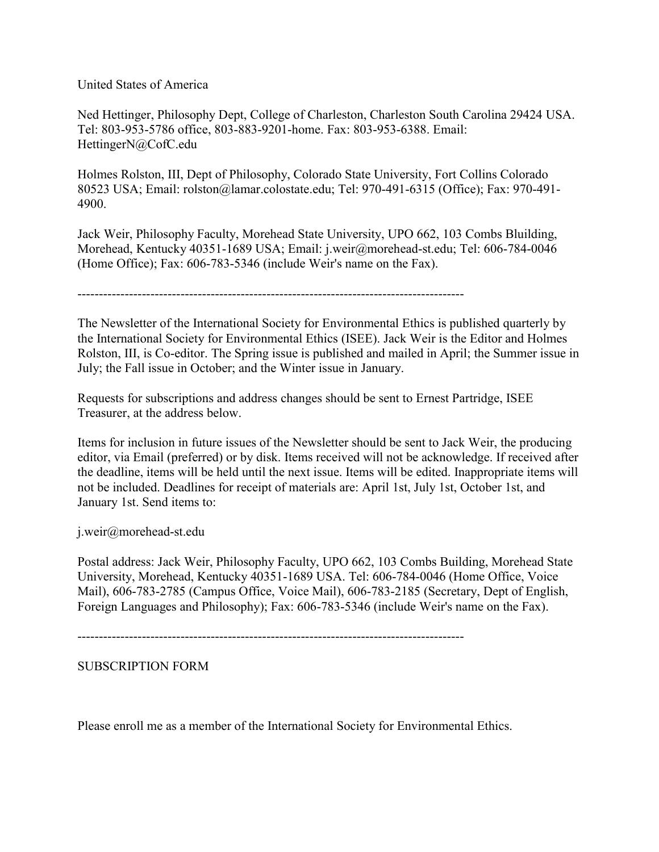United States of America

Ned Hettinger, Philosophy Dept, College of Charleston, Charleston South Carolina 29424 USA. Tel: 803-953-5786 office, 803-883-9201-home. Fax: 803-953-6388. Email: HettingerN@CofC.edu

Holmes Rolston, III, Dept of Philosophy, Colorado State University, Fort Collins Colorado 80523 USA; Email: rolston@lamar.colostate.edu; Tel: 970-491-6315 (Office); Fax: 970-491- 4900.

Jack Weir, Philosophy Faculty, Morehead State University, UPO 662, 103 Combs Bluilding, Morehead, Kentucky 40351-1689 USA; Email: j.weir@morehead-st.edu; Tel: 606-784-0046 (Home Office); Fax: 606-783-5346 (include Weir's name on the Fax).

------------------------------------------------------------------------------------------

The Newsletter of the International Society for Environmental Ethics is published quarterly by the International Society for Environmental Ethics (ISEE). Jack Weir is the Editor and Holmes Rolston, III, is Co-editor. The Spring issue is published and mailed in April; the Summer issue in July; the Fall issue in October; and the Winter issue in January.

Requests for subscriptions and address changes should be sent to Ernest Partridge, ISEE Treasurer, at the address below.

Items for inclusion in future issues of the Newsletter should be sent to Jack Weir, the producing editor, via Email (preferred) or by disk. Items received will not be acknowledge. If received after the deadline, items will be held until the next issue. Items will be edited. Inappropriate items will not be included. Deadlines for receipt of materials are: April 1st, July 1st, October 1st, and January 1st. Send items to:

j.weir@morehead-st.edu

Postal address: Jack Weir, Philosophy Faculty, UPO 662, 103 Combs Building, Morehead State University, Morehead, Kentucky 40351-1689 USA. Tel: 606-784-0046 (Home Office, Voice Mail), 606-783-2785 (Campus Office, Voice Mail), 606-783-2185 (Secretary, Dept of English, Foreign Languages and Philosophy); Fax: 606-783-5346 (include Weir's name on the Fax).

------------------------------------------------------------------------------------------

SUBSCRIPTION FORM

Please enroll me as a member of the International Society for Environmental Ethics.